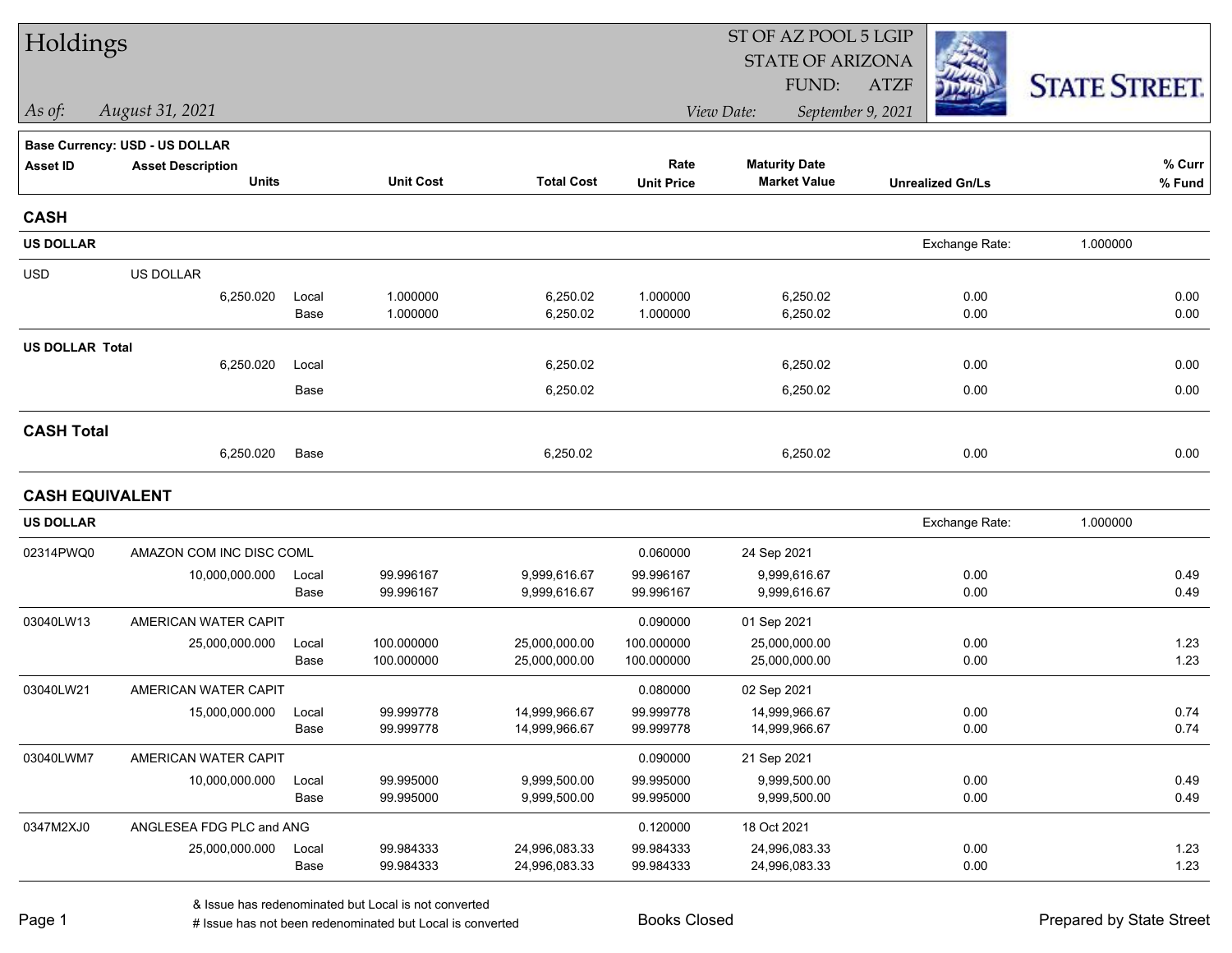| Holdings               |                                       |       |                  |                   | ST OF AZ POOL 5 LGIP |                         |                         |                      |  |  |
|------------------------|---------------------------------------|-------|------------------|-------------------|----------------------|-------------------------|-------------------------|----------------------|--|--|
|                        |                                       |       |                  |                   |                      | <b>STATE OF ARIZONA</b> |                         |                      |  |  |
|                        |                                       |       |                  |                   |                      | FUND:                   | <b>ATZF</b>             | <b>STATE STREET.</b> |  |  |
| As of:                 | August 31, 2021                       |       |                  |                   |                      | View Date:              | September 9, 2021       |                      |  |  |
|                        | <b>Base Currency: USD - US DOLLAR</b> |       |                  |                   |                      |                         |                         |                      |  |  |
| <b>Asset ID</b>        | <b>Asset Description</b>              |       |                  |                   | Rate                 | <b>Maturity Date</b>    |                         | % Curr               |  |  |
|                        | <b>Units</b>                          |       | <b>Unit Cost</b> | <b>Total Cost</b> | <b>Unit Price</b>    | <b>Market Value</b>     | <b>Unrealized Gn/Ls</b> | % Fund               |  |  |
| <b>CASH</b>            |                                       |       |                  |                   |                      |                         |                         |                      |  |  |
| <b>US DOLLAR</b>       |                                       |       |                  |                   |                      |                         | Exchange Rate:          | 1.000000             |  |  |
| <b>USD</b>             | US DOLLAR                             |       |                  |                   |                      |                         |                         |                      |  |  |
|                        | 6,250.020                             | Local | 1.000000         | 6,250.02          | 1.000000             | 6,250.02                | 0.00                    | 0.00                 |  |  |
|                        |                                       | Base  | 1.000000         | 6,250.02          | 1.000000             | 6,250.02                | 0.00                    | 0.00                 |  |  |
| <b>US DOLLAR Total</b> |                                       |       |                  |                   |                      |                         |                         |                      |  |  |
|                        | 6,250.020                             | Local |                  | 6,250.02          |                      | 6,250.02                | 0.00                    | 0.00                 |  |  |
|                        |                                       | Base  |                  | 6,250.02          |                      | 6,250.02                | 0.00                    | 0.00                 |  |  |
| <b>CASH Total</b>      |                                       |       |                  |                   |                      |                         |                         |                      |  |  |
|                        | 6,250.020                             | Base  |                  | 6,250.02          |                      | 6,250.02                | 0.00                    | 0.00                 |  |  |
| <b>CASH EQUIVALENT</b> |                                       |       |                  |                   |                      |                         |                         |                      |  |  |
| <b>US DOLLAR</b>       |                                       |       |                  |                   |                      |                         | Exchange Rate:          | 1.000000             |  |  |
| 02314PWQ0              | AMAZON COM INC DISC COML              |       |                  |                   | 0.060000             | 24 Sep 2021             |                         |                      |  |  |
|                        | 10,000,000.000                        | Local | 99.996167        | 9,999,616.67      | 99.996167            | 9,999,616.67            | 0.00                    | 0.49                 |  |  |
|                        |                                       | Base  | 99.996167        | 9,999,616.67      | 99.996167            | 9,999,616.67            | 0.00                    | 0.49                 |  |  |
| 03040LW13              | AMERICAN WATER CAPIT                  |       |                  |                   | 0.090000             | 01 Sep 2021             |                         |                      |  |  |
|                        | 25,000,000.000                        | Local | 100.000000       | 25,000,000.00     | 100.000000           | 25,000,000.00           | 0.00                    | 1.23                 |  |  |
|                        |                                       | Base  | 100.000000       | 25,000,000.00     | 100.000000           | 25,000,000.00           | 0.00                    | 1.23                 |  |  |
| 03040LW21              | AMERICAN WATER CAPIT                  |       |                  |                   | 0.080000             | 02 Sep 2021             |                         |                      |  |  |
|                        | 15,000,000.000                        | Local | 99.999778        | 14,999,966.67     | 99.999778            | 14,999,966.67           | 0.00                    | 0.74                 |  |  |
|                        |                                       | Base  | 99.999778        | 14,999,966.67     | 99.999778            | 14,999,966.67           | 0.00                    | 0.74                 |  |  |
| 03040LWM7              | AMERICAN WATER CAPIT                  |       |                  |                   | 0.090000             | 21 Sep 2021             |                         |                      |  |  |
|                        | 10,000,000.000                        | Local | 99.995000        | 9,999,500.00      | 99.995000            | 9,999,500.00            | 0.00                    | 0.49                 |  |  |
|                        |                                       | Base  | 99.995000        | 9,999,500.00      | 99.995000            | 9,999,500.00            | 0.00                    | 0.49                 |  |  |
| 0347M2XJ0              | ANGLESEA FDG PLC and ANG              |       |                  |                   | 0.120000             | 18 Oct 2021             |                         |                      |  |  |
|                        | 25,000,000.000                        | Local | 99.984333        | 24,996,083.33     | 99.984333            | 24,996,083.33           | 0.00                    | 1.23                 |  |  |
|                        |                                       | Base  | 99.984333        | 24,996,083.33     | 99.984333            | 24,996,083.33           | 0.00                    | 1.23                 |  |  |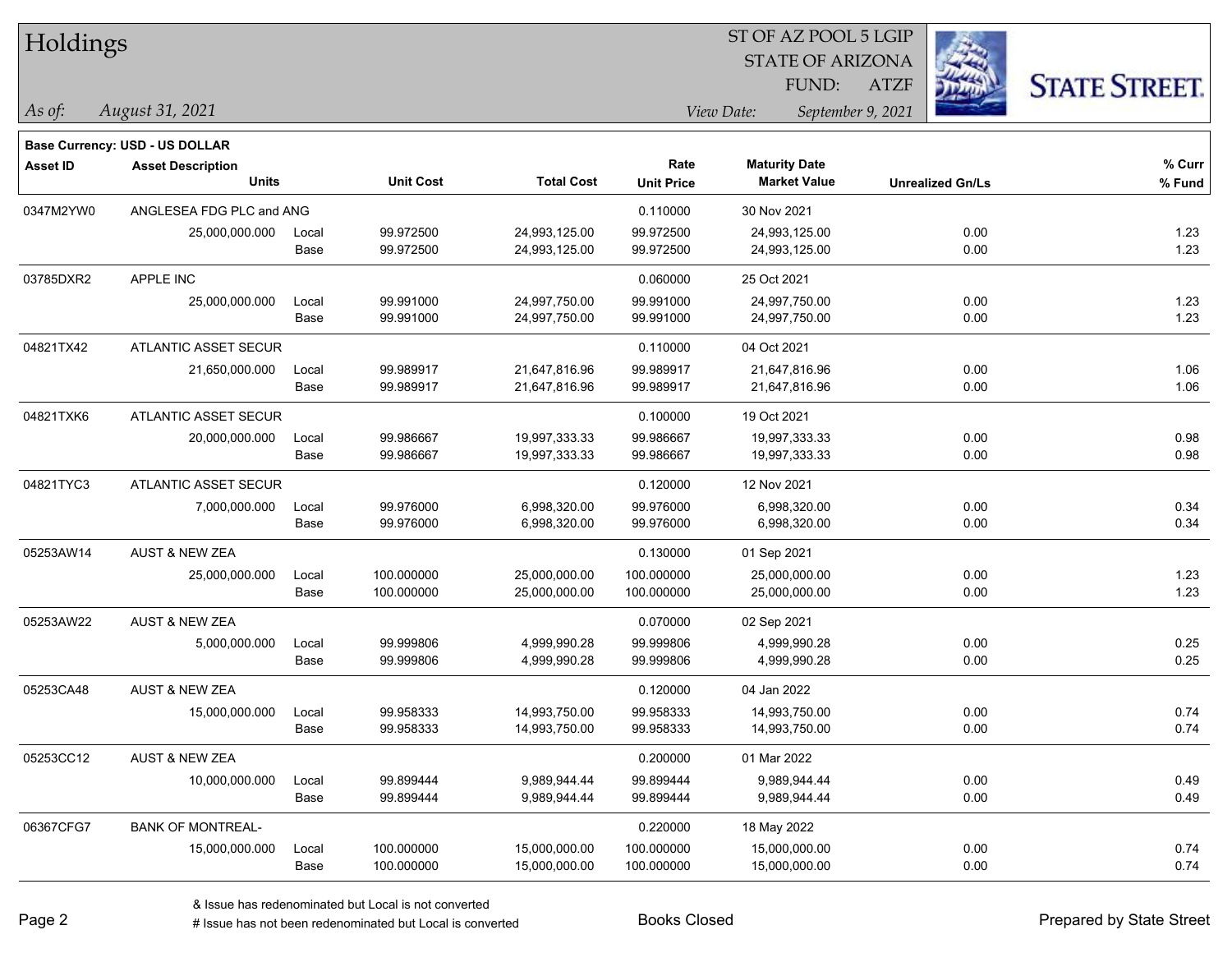| Holdings        |                                          |       |                  |                   |                   |                                             | ST OF AZ POOL 5 LGIP    |                         |                      |
|-----------------|------------------------------------------|-------|------------------|-------------------|-------------------|---------------------------------------------|-------------------------|-------------------------|----------------------|
|                 |                                          |       |                  |                   |                   |                                             | <b>STATE OF ARIZONA</b> |                         |                      |
|                 |                                          |       |                  |                   |                   | FUND:                                       | <b>ATZF</b>             |                         | <b>STATE STREET.</b> |
| $\vert$ As of:  | August 31, 2021                          |       |                  |                   |                   | View Date:                                  | September 9, 2021       |                         |                      |
|                 |                                          |       |                  |                   |                   |                                             |                         |                         |                      |
|                 | Base Currency: USD - US DOLLAR           |       |                  |                   | Rate              |                                             |                         |                         | $%$ Curr             |
| <b>Asset ID</b> | <b>Asset Description</b><br><b>Units</b> |       | <b>Unit Cost</b> | <b>Total Cost</b> | <b>Unit Price</b> | <b>Maturity Date</b><br><b>Market Value</b> |                         | <b>Unrealized Gn/Ls</b> | % Fund               |
| 0347M2YW0       | ANGLESEA FDG PLC and ANG                 |       |                  |                   | 0.110000          | 30 Nov 2021                                 |                         |                         |                      |
|                 | 25,000,000.000                           | Local | 99.972500        | 24,993,125.00     | 99.972500         | 24,993,125.00                               |                         | 0.00                    | 1.23                 |
|                 |                                          | Base  | 99.972500        | 24,993,125.00     | 99.972500         | 24,993,125.00                               |                         | 0.00                    | 1.23                 |
| 03785DXR2       | APPLE INC                                |       |                  |                   | 0.060000          | 25 Oct 2021                                 |                         |                         |                      |
|                 | 25,000,000.000                           | Local | 99.991000        | 24,997,750.00     | 99.991000         | 24,997,750.00                               |                         | 0.00                    | 1.23                 |
|                 |                                          | Base  | 99.991000        | 24,997,750.00     | 99.991000         | 24,997,750.00                               |                         | 0.00                    | 1.23                 |
| 04821TX42       | <b>ATLANTIC ASSET SECUR</b>              |       |                  |                   | 0.110000          | 04 Oct 2021                                 |                         |                         |                      |
|                 | 21,650,000.000                           | Local | 99.989917        | 21,647,816.96     | 99.989917         | 21,647,816.96                               |                         | 0.00                    | 1.06                 |
|                 |                                          | Base  | 99.989917        | 21,647,816.96     | 99.989917         | 21,647,816.96                               |                         | 0.00                    | 1.06                 |
| 04821TXK6       | <b>ATLANTIC ASSET SECUR</b>              |       |                  |                   | 0.100000          | 19 Oct 2021                                 |                         |                         |                      |
|                 | 20,000,000.000                           | Local | 99.986667        | 19,997,333.33     | 99.986667         | 19,997,333.33                               |                         | 0.00                    | 0.98                 |
|                 |                                          | Base  | 99.986667        | 19,997,333.33     | 99.986667         | 19,997,333.33                               |                         | 0.00                    | 0.98                 |
| 04821TYC3       | <b>ATLANTIC ASSET SECUR</b>              |       |                  |                   | 0.120000          | 12 Nov 2021                                 |                         |                         |                      |
|                 | 7,000,000.000                            | Local | 99.976000        | 6,998,320.00      | 99.976000         | 6,998,320.00                                |                         | 0.00                    | 0.34                 |
|                 |                                          | Base  | 99.976000        | 6,998,320.00      | 99.976000         | 6,998,320.00                                |                         | 0.00                    | 0.34                 |
| 05253AW14       | <b>AUST &amp; NEW ZEA</b>                |       |                  |                   | 0.130000          | 01 Sep 2021                                 |                         |                         |                      |
|                 | 25,000,000.000                           | Local | 100.000000       | 25,000,000.00     | 100.000000        | 25,000,000.00                               |                         | 0.00                    | 1.23                 |
|                 |                                          | Base  | 100.000000       | 25,000,000.00     | 100.000000        | 25,000,000.00                               |                         | 0.00                    | 1.23                 |
| 05253AW22       | <b>AUST &amp; NEW ZEA</b>                |       |                  |                   | 0.070000          | 02 Sep 2021                                 |                         |                         |                      |
|                 | 5,000,000.000                            | Local | 99.999806        | 4,999,990.28      | 99.999806         | 4,999,990.28                                |                         | 0.00                    | 0.25                 |
|                 |                                          | Base  | 99.999806        | 4,999,990.28      | 99.999806         | 4,999,990.28                                |                         | 0.00                    | 0.25                 |
| 05253CA48       | <b>AUST &amp; NEW ZEA</b>                |       |                  |                   | 0.120000          | 04 Jan 2022                                 |                         |                         |                      |
|                 | 15,000,000.000                           | Local | 99.958333        | 14,993,750.00     | 99.958333         | 14,993,750.00                               |                         | 0.00                    | 0.74                 |
|                 |                                          | Base  | 99.958333        | 14,993,750.00     | 99.958333         | 14,993,750.00                               |                         | 0.00                    | 0.74                 |
| 05253CC12       | <b>AUST &amp; NEW ZEA</b>                |       |                  |                   | 0.200000          | 01 Mar 2022                                 |                         |                         |                      |
|                 | 10,000,000.000                           | Local | 99.899444        | 9,989,944.44      | 99.899444         | 9,989,944.44                                |                         | 0.00                    | 0.49                 |
|                 |                                          | Base  | 99.899444        | 9,989,944.44      | 99.899444         | 9,989,944.44                                |                         | 0.00                    | 0.49                 |
| 06367CFG7       | <b>BANK OF MONTREAL-</b>                 |       |                  |                   | 0.220000          | 18 May 2022                                 |                         |                         |                      |
|                 | 15,000,000.000                           | Local | 100.000000       | 15,000,000.00     | 100.000000        | 15,000,000.00                               |                         | 0.00                    | 0.74                 |
|                 |                                          | Base  | 100.000000       | 15,000,000.00     | 100.000000        | 15,000,000.00                               |                         | 0.00                    | 0.74                 |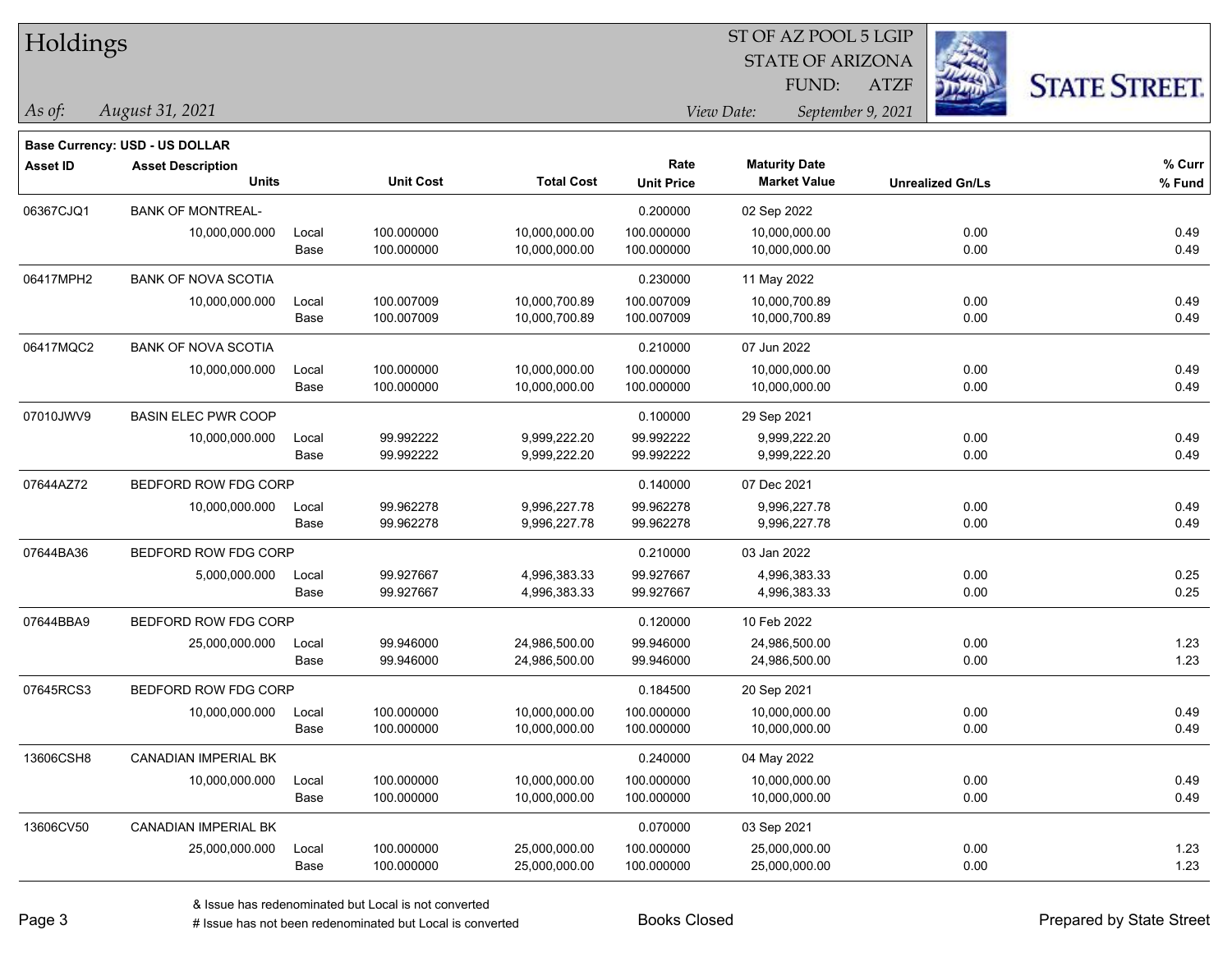| Holdings |  |
|----------|--|
|----------|--|

### STATE OF ARIZONA ATZF ST OF AZ POOL 5 LGIP FUND:



**Base Currency: USD - US DOLLAR**

*August 31, 2021 As of: View Date: September 9, 2021*

| <b>Asset ID</b> | <b>Asset Description</b><br><b>Units</b> |       | <b>Unit Cost</b> | <b>Total Cost</b> | Rate<br><b>Unit Price</b> | <b>Maturity Date</b><br><b>Market Value</b> | <b>Unrealized Gn/Ls</b> | % Curr<br>% Fund |
|-----------------|------------------------------------------|-------|------------------|-------------------|---------------------------|---------------------------------------------|-------------------------|------------------|
| 06367CJQ1       | <b>BANK OF MONTREAL-</b>                 |       |                  |                   | 0.200000                  | 02 Sep 2022                                 |                         |                  |
|                 | 10,000,000.000                           | Local | 100.000000       | 10,000,000.00     | 100.000000                | 10,000,000.00                               | 0.00                    | 0.49             |
|                 |                                          | Base  | 100.000000       | 10,000,000.00     | 100.000000                | 10,000,000.00                               | 0.00                    | 0.49             |
| 06417MPH2       | <b>BANK OF NOVA SCOTIA</b>               |       |                  |                   | 0.230000                  | 11 May 2022                                 |                         |                  |
|                 | 10,000,000.000                           | Local | 100.007009       | 10,000,700.89     | 100.007009                | 10,000,700.89                               | 0.00                    | 0.49             |
|                 |                                          | Base  | 100.007009       | 10,000,700.89     | 100.007009                | 10,000,700.89                               | 0.00                    | 0.49             |
| 06417MQC2       | <b>BANK OF NOVA SCOTIA</b>               |       |                  |                   | 0.210000                  | 07 Jun 2022                                 |                         |                  |
|                 | 10,000,000.000                           | Local | 100.000000       | 10,000,000.00     | 100.000000                | 10,000,000.00                               | 0.00                    | 0.49             |
|                 |                                          | Base  | 100.000000       | 10,000,000.00     | 100.000000                | 10,000,000.00                               | 0.00                    | 0.49             |
| 07010JWV9       | <b>BASIN ELEC PWR COOP</b>               |       |                  |                   | 0.100000                  | 29 Sep 2021                                 |                         |                  |
|                 | 10,000,000.000                           | Local | 99.992222        | 9,999,222.20      | 99.992222                 | 9,999,222.20                                | 0.00                    | 0.49             |
|                 |                                          | Base  | 99.992222        | 9,999,222.20      | 99.992222                 | 9,999,222.20                                | 0.00                    | 0.49             |
| 07644AZ72       | BEDFORD ROW FDG CORP                     |       |                  |                   | 0.140000                  | 07 Dec 2021                                 |                         |                  |
|                 | 10,000,000.000                           | Local | 99.962278        | 9,996,227.78      | 99.962278                 | 9,996,227.78                                | 0.00                    | 0.49             |
|                 |                                          | Base  | 99.962278        | 9,996,227.78      | 99.962278                 | 9,996,227.78                                | 0.00                    | 0.49             |
| 07644BA36       | BEDFORD ROW FDG CORP                     |       |                  |                   | 0.210000                  | 03 Jan 2022                                 |                         |                  |
|                 | 5,000,000.000                            | Local | 99.927667        | 4,996,383.33      | 99.927667                 | 4,996,383.33                                | 0.00                    | 0.25             |
|                 |                                          | Base  | 99.927667        | 4,996,383.33      | 99.927667                 | 4,996,383.33                                | 0.00                    | 0.25             |
| 07644BBA9       | BEDFORD ROW FDG CORP                     |       |                  |                   | 0.120000                  | 10 Feb 2022                                 |                         |                  |
|                 | 25,000,000.000                           | Local | 99.946000        | 24,986,500.00     | 99.946000                 | 24,986,500.00                               | 0.00                    | 1.23             |
|                 |                                          | Base  | 99.946000        | 24,986,500.00     | 99.946000                 | 24,986,500.00                               | 0.00                    | 1.23             |
| 07645RCS3       | BEDFORD ROW FDG CORP                     |       |                  |                   | 0.184500                  | 20 Sep 2021                                 |                         |                  |
|                 | 10,000,000.000                           | Local | 100.000000       | 10,000,000.00     | 100.000000                | 10,000,000.00                               | 0.00                    | 0.49             |
|                 |                                          | Base  | 100.000000       | 10,000,000.00     | 100.000000                | 10,000,000.00                               | 0.00                    | 0.49             |
| 13606CSH8       | <b>CANADIAN IMPERIAL BK</b>              |       |                  |                   | 0.240000                  | 04 May 2022                                 |                         |                  |
|                 | 10,000,000.000                           | Local | 100.000000       | 10,000,000.00     | 100.000000                | 10,000,000.00                               | 0.00                    | 0.49             |
|                 |                                          | Base  | 100.000000       | 10,000,000.00     | 100.000000                | 10,000,000.00                               | 0.00                    | 0.49             |
| 13606CV50       | CANADIAN IMPERIAL BK                     |       |                  |                   | 0.070000                  | 03 Sep 2021                                 |                         |                  |
|                 | 25,000,000.000                           | Local | 100.000000       | 25,000,000.00     | 100.000000                | 25,000,000.00                               | 0.00                    | 1.23             |
|                 |                                          | Base  | 100.000000       | 25,000,000.00     | 100.000000                | 25,000,000.00                               | 0.00                    | 1.23             |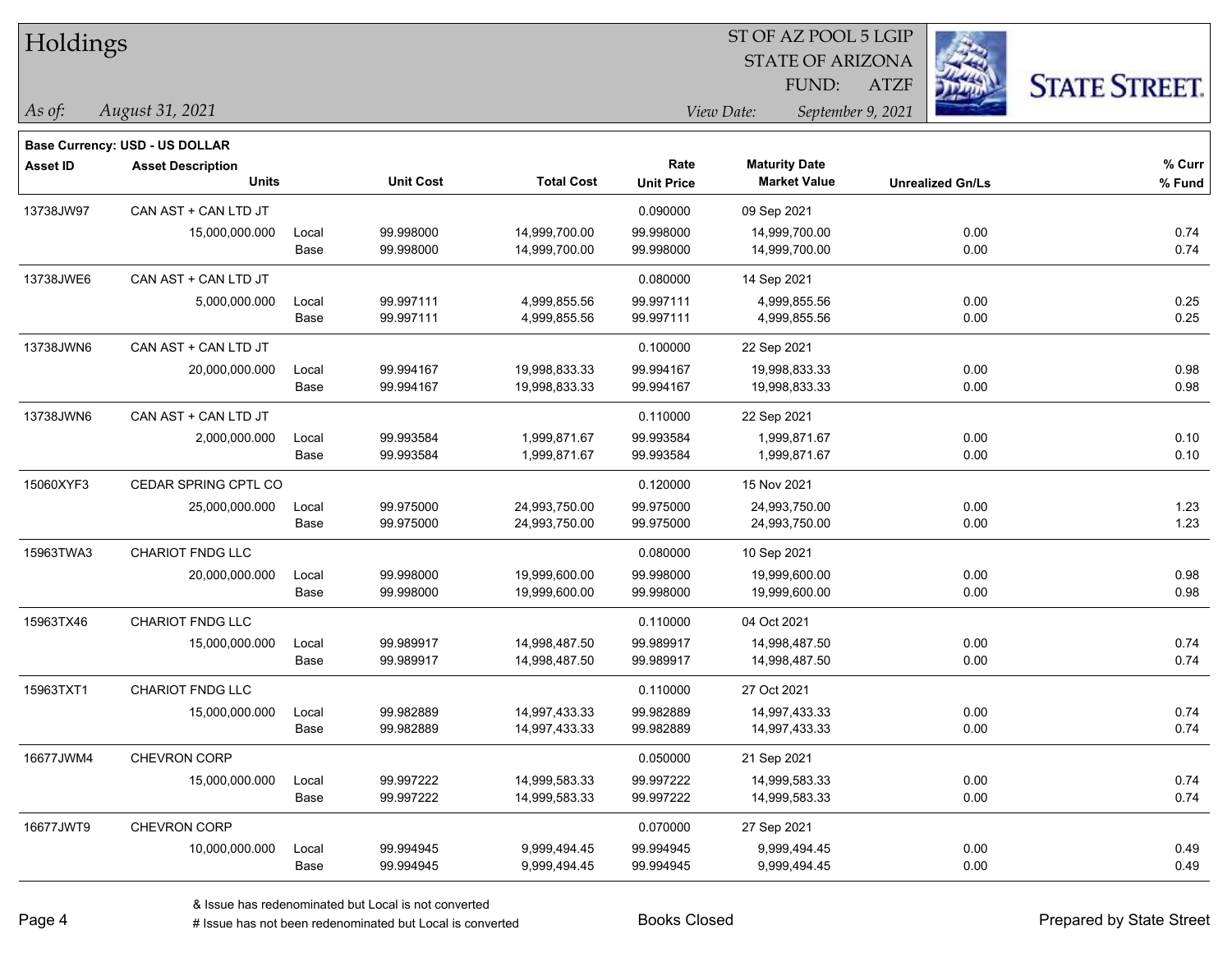| Holdings  |                                       |       |                  |                   | ST OF AZ POOL 5 LGIP |                                 |                         |                      |  |  |
|-----------|---------------------------------------|-------|------------------|-------------------|----------------------|---------------------------------|-------------------------|----------------------|--|--|
|           |                                       |       |                  |                   |                      | <b>STATE OF ARIZONA</b>         | $\mathbb{Z}$            |                      |  |  |
|           |                                       |       |                  |                   |                      | FUND:                           | <b>ATZF</b>             | <b>STATE STREET.</b> |  |  |
| As of:    | August 31, 2021                       |       |                  |                   |                      | View Date:<br>September 9, 2021 |                         |                      |  |  |
|           | <b>Base Currency: USD - US DOLLAR</b> |       |                  |                   |                      |                                 |                         |                      |  |  |
| Asset ID  | <b>Asset Description</b>              |       |                  |                   | Rate                 | <b>Maturity Date</b>            |                         | % Curr               |  |  |
|           | <b>Units</b>                          |       | <b>Unit Cost</b> | <b>Total Cost</b> | <b>Unit Price</b>    | <b>Market Value</b>             | <b>Unrealized Gn/Ls</b> | % Fund               |  |  |
| 13738JW97 | CAN AST + CAN LTD JT                  |       |                  |                   | 0.090000             | 09 Sep 2021                     |                         |                      |  |  |
|           | 15,000,000.000                        | Local | 99.998000        | 14,999,700.00     | 99.998000            | 14,999,700.00                   | 0.00                    | 0.74                 |  |  |
|           |                                       | Base  | 99.998000        | 14,999,700.00     | 99.998000            | 14,999,700.00                   | 0.00                    | 0.74                 |  |  |
| 13738JWE6 | CAN AST + CAN LTD JT                  |       |                  |                   | 0.080000             | 14 Sep 2021                     |                         |                      |  |  |
|           | 5,000,000.000                         | Local | 99.997111        | 4,999,855.56      | 99.997111            | 4,999,855.56                    | 0.00                    | 0.25                 |  |  |
|           |                                       | Base  | 99.997111        | 4,999,855.56      | 99.997111            | 4,999,855.56                    | 0.00                    | 0.25                 |  |  |
| 13738JWN6 | CAN AST + CAN LTD JT                  |       |                  |                   | 0.100000             | 22 Sep 2021                     |                         |                      |  |  |
|           | 20,000,000.000                        | Local | 99.994167        | 19,998,833.33     | 99.994167            | 19,998,833.33                   | 0.00                    | 0.98                 |  |  |
|           |                                       | Base  | 99.994167        | 19,998,833.33     | 99.994167            | 19,998,833.33                   | 0.00                    | 0.98                 |  |  |
| 13738JWN6 | CAN AST + CAN LTD JT                  |       |                  |                   | 0.110000             | 22 Sep 2021                     |                         |                      |  |  |
|           | 2,000,000.000                         | Local | 99.993584        | 1,999,871.67      | 99.993584            | 1,999,871.67                    | 0.00                    | 0.10                 |  |  |
|           |                                       | Base  | 99.993584        | 1,999,871.67      | 99.993584            | 1,999,871.67                    | 0.00                    | 0.10                 |  |  |
| 15060XYF3 | CEDAR SPRING CPTL CO                  |       |                  |                   | 0.120000             | 15 Nov 2021                     |                         |                      |  |  |
|           | 25,000,000.000                        | Local | 99.975000        | 24,993,750.00     | 99.975000            | 24,993,750.00                   | 0.00                    | 1.23                 |  |  |
|           |                                       | Base  | 99.975000        | 24,993,750.00     | 99.975000            | 24,993,750.00                   | 0.00                    | 1.23                 |  |  |
| 15963TWA3 | <b>CHARIOT FNDG LLC</b>               |       |                  |                   | 0.080000             | 10 Sep 2021                     |                         |                      |  |  |
|           | 20,000,000.000                        | Local | 99.998000        | 19,999,600.00     | 99.998000            | 19,999,600.00                   | 0.00                    | 0.98                 |  |  |
|           |                                       | Base  | 99.998000        | 19,999,600.00     | 99.998000            | 19,999,600.00                   | 0.00                    | 0.98                 |  |  |
| 15963TX46 | CHARIOT FNDG LLC                      |       |                  |                   | 0.110000             | 04 Oct 2021                     |                         |                      |  |  |
|           | 15,000,000.000                        | Local | 99.989917        | 14,998,487.50     | 99.989917            | 14,998,487.50                   | 0.00                    | 0.74                 |  |  |
|           |                                       | Base  | 99.989917        | 14,998,487.50     | 99.989917            | 14,998,487.50                   | 0.00                    | 0.74                 |  |  |
| 15963TXT1 | CHARIOT FNDG LLC                      |       |                  |                   | 0.110000             | 27 Oct 2021                     |                         |                      |  |  |
|           | 15,000,000.000                        | Local | 99.982889        | 14,997,433.33     | 99.982889            | 14,997,433.33                   | 0.00                    | 0.74                 |  |  |
|           |                                       | Base  | 99.982889        | 14,997,433.33     | 99.982889            | 14,997,433.33                   | 0.00                    | 0.74                 |  |  |
| 16677JWM4 | <b>CHEVRON CORP</b>                   |       |                  |                   | 0.050000             | 21 Sep 2021                     |                         |                      |  |  |
|           | 15,000,000.000                        | Local | 99.997222        | 14,999,583.33     | 99.997222            | 14,999,583.33                   | 0.00                    | 0.74                 |  |  |
|           |                                       | Base  | 99.997222        | 14,999,583.33     | 99.997222            | 14,999,583.33                   | 0.00                    | 0.74                 |  |  |
| 16677JWT9 | CHEVRON CORP                          |       |                  |                   | 0.070000             | 27 Sep 2021                     |                         |                      |  |  |
|           | 10,000,000.000                        | Local | 99.994945        | 9,999,494.45      | 99.994945            | 9,999,494.45                    | 0.00                    | 0.49                 |  |  |
|           |                                       | Base  | 99.994945        | 9,999,494.45      | 99.994945            | 9,999,494.45                    | 0.00                    | 0.49                 |  |  |

ST OF AZ POOL 5 LGIP

-

 $\overline{\phantom{0}}$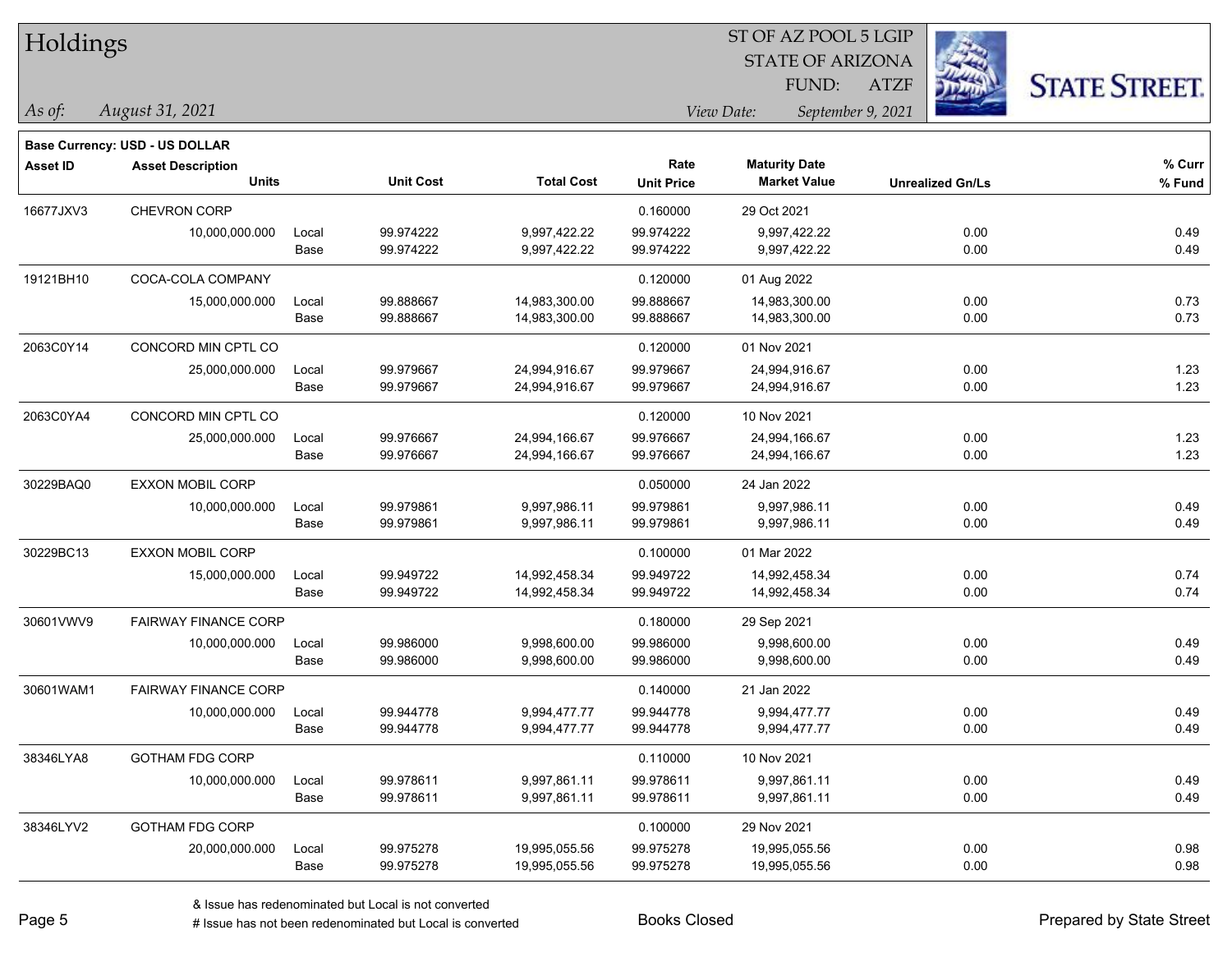| Holdings        |                                                            |       |                  |                   |                   | ST OF AZ POOL 5 LGIP    |                   |                         |                      |
|-----------------|------------------------------------------------------------|-------|------------------|-------------------|-------------------|-------------------------|-------------------|-------------------------|----------------------|
|                 |                                                            |       |                  |                   |                   | <b>STATE OF ARIZONA</b> |                   |                         |                      |
|                 |                                                            |       |                  |                   |                   | FUND:                   | <b>ATZF</b>       |                         | <b>STATE STREET.</b> |
| As of:          | August 31, 2021                                            |       |                  |                   |                   | View Date:              | September 9, 2021 |                         |                      |
|                 |                                                            |       |                  |                   |                   |                         |                   |                         |                      |
| <b>Asset ID</b> | Base Currency: USD - US DOLLAR<br><b>Asset Description</b> |       |                  |                   | Rate              | <b>Maturity Date</b>    |                   |                         | % Curr               |
|                 | <b>Units</b>                                               |       | <b>Unit Cost</b> | <b>Total Cost</b> | <b>Unit Price</b> | <b>Market Value</b>     |                   | <b>Unrealized Gn/Ls</b> | % Fund               |
| 16677JXV3       | CHEVRON CORP                                               |       |                  |                   | 0.160000          | 29 Oct 2021             |                   |                         |                      |
|                 | 10,000,000.000                                             | Local | 99.974222        | 9,997,422.22      | 99.974222         | 9,997,422.22            |                   | 0.00                    | 0.49                 |
|                 |                                                            | Base  | 99.974222        | 9,997,422.22      | 99.974222         | 9,997,422.22            |                   | 0.00                    | 0.49                 |
| 19121BH10       | COCA-COLA COMPANY                                          |       |                  |                   | 0.120000          | 01 Aug 2022             |                   |                         |                      |
|                 | 15,000,000.000                                             | Local | 99.888667        | 14,983,300.00     | 99.888667         | 14,983,300.00           |                   | 0.00                    | 0.73                 |
|                 |                                                            | Base  | 99.888667        | 14,983,300.00     | 99.888667         | 14,983,300.00           |                   | 0.00                    | 0.73                 |
| 2063C0Y14       | CONCORD MIN CPTL CO                                        |       |                  |                   | 0.120000          | 01 Nov 2021             |                   |                         |                      |
|                 | 25,000,000.000                                             | Local | 99.979667        | 24,994,916.67     | 99.979667         | 24,994,916.67           |                   | 0.00                    | 1.23                 |
|                 |                                                            | Base  | 99.979667        | 24,994,916.67     | 99.979667         | 24,994,916.67           |                   | 0.00                    | 1.23                 |
| 2063C0YA4       | CONCORD MIN CPTL CO                                        |       |                  |                   | 0.120000          | 10 Nov 2021             |                   |                         |                      |
|                 | 25,000,000.000                                             | Local | 99.976667        | 24,994,166.67     | 99.976667         | 24,994,166.67           |                   | 0.00                    | 1.23                 |
|                 |                                                            | Base  | 99.976667        | 24,994,166.67     | 99.976667         | 24,994,166.67           |                   | 0.00                    | 1.23                 |
| 30229BAQ0       | <b>EXXON MOBIL CORP</b>                                    |       |                  |                   | 0.050000          | 24 Jan 2022             |                   |                         |                      |
|                 | 10,000,000.000                                             | Local | 99.979861        | 9,997,986.11      | 99.979861         | 9,997,986.11            |                   | 0.00                    | 0.49                 |
|                 |                                                            | Base  | 99.979861        | 9,997,986.11      | 99.979861         | 9,997,986.11            |                   | 0.00                    | 0.49                 |
| 30229BC13       | <b>EXXON MOBIL CORP</b>                                    |       |                  |                   | 0.100000          | 01 Mar 2022             |                   |                         |                      |
|                 | 15,000,000.000                                             | Local | 99.949722        | 14,992,458.34     | 99.949722         | 14,992,458.34           |                   | 0.00                    | 0.74                 |
|                 |                                                            | Base  | 99.949722        | 14,992,458.34     | 99.949722         | 14,992,458.34           |                   | 0.00                    | 0.74                 |
| 30601VWV9       | <b>FAIRWAY FINANCE CORP</b>                                |       |                  |                   | 0.180000          | 29 Sep 2021             |                   |                         |                      |
|                 | 10,000,000.000                                             | Local | 99.986000        | 9,998,600.00      | 99.986000         | 9,998,600.00            |                   | 0.00                    | 0.49                 |
|                 |                                                            | Base  | 99.986000        | 9,998,600.00      | 99.986000         | 9,998,600.00            |                   | 0.00                    | 0.49                 |
| 30601WAM1       | <b>FAIRWAY FINANCE CORP</b>                                |       |                  |                   | 0.140000          | 21 Jan 2022             |                   |                         |                      |
|                 | 10,000,000.000                                             | Local | 99.944778        | 9,994,477.77      | 99.944778         | 9,994,477.77            |                   | 0.00                    | 0.49                 |
|                 |                                                            | Base  | 99.944778        | 9,994,477.77      | 99.944778         | 9,994,477.77            |                   | 0.00                    | 0.49                 |
| 38346LYA8       | <b>GOTHAM FDG CORP</b>                                     |       |                  |                   | 0.110000          | 10 Nov 2021             |                   |                         |                      |
|                 | 10,000,000.000                                             | Local | 99.978611        | 9,997,861.11      | 99.978611         | 9,997,861.11            |                   | 0.00                    | 0.49                 |
|                 |                                                            | Base  | 99.978611        | 9,997,861.11      | 99.978611         | 9,997,861.11            |                   | 0.00                    | 0.49                 |
| 38346LYV2       | <b>GOTHAM FDG CORP</b>                                     |       |                  |                   | 0.100000          | 29 Nov 2021             |                   |                         |                      |
|                 | 20,000,000.000                                             | Local | 99.975278        | 19,995,055.56     | 99.975278         | 19,995,055.56           |                   | 0.00                    | 0.98                 |
|                 |                                                            | Base  | 99.975278        | 19,995,055.56     | 99.975278         | 19,995,055.56           |                   | 0.00                    | 0.98                 |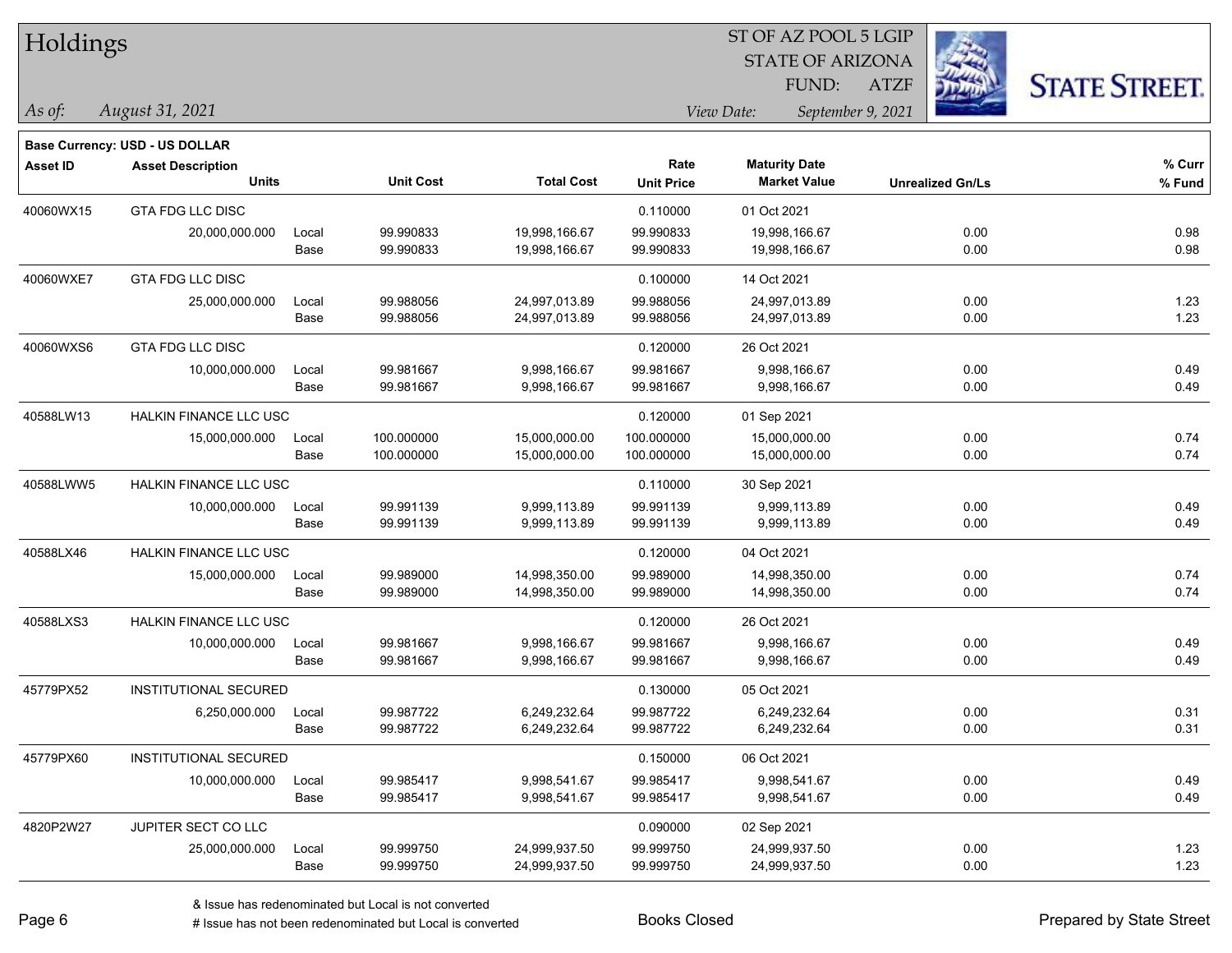| Holdings        |                                       |       |                  |                   | ST OF AZ POOL 5 LGIP |                         |                         |                      |  |  |
|-----------------|---------------------------------------|-------|------------------|-------------------|----------------------|-------------------------|-------------------------|----------------------|--|--|
|                 |                                       |       |                  |                   |                      | <b>STATE OF ARIZONA</b> |                         |                      |  |  |
|                 |                                       |       |                  |                   |                      | FUND:                   | <b>ATZF</b>             | <b>STATE STREET.</b> |  |  |
| As of:          | August 31, 2021                       |       |                  |                   |                      | View Date:              | September 9, 2021       |                      |  |  |
|                 | <b>Base Currency: USD - US DOLLAR</b> |       |                  |                   |                      |                         |                         |                      |  |  |
| <b>Asset ID</b> | <b>Asset Description</b>              |       |                  |                   | Rate                 | <b>Maturity Date</b>    |                         | % Curr               |  |  |
|                 | <b>Units</b>                          |       | <b>Unit Cost</b> | <b>Total Cost</b> | <b>Unit Price</b>    | <b>Market Value</b>     | <b>Unrealized Gn/Ls</b> | % Fund               |  |  |
| 40060WX15       | <b>GTA FDG LLC DISC</b>               |       |                  |                   | 0.110000             | 01 Oct 2021             |                         |                      |  |  |
|                 | 20,000,000.000                        | Local | 99.990833        | 19,998,166.67     | 99.990833            | 19,998,166.67           | 0.00                    | 0.98                 |  |  |
|                 |                                       | Base  | 99.990833        | 19,998,166.67     | 99.990833            | 19,998,166.67           | 0.00                    | 0.98                 |  |  |
| 40060WXE7       | <b>GTA FDG LLC DISC</b>               |       |                  |                   | 0.100000             | 14 Oct 2021             |                         |                      |  |  |
|                 | 25,000,000.000                        | Local | 99.988056        | 24,997,013.89     | 99.988056            | 24,997,013.89           | 0.00                    | 1.23                 |  |  |
|                 |                                       | Base  | 99.988056        | 24,997,013.89     | 99.988056            | 24,997,013.89           | 0.00                    | 1.23                 |  |  |
| 40060WXS6       | GTA FDG LLC DISC                      |       |                  |                   | 0.120000             | 26 Oct 2021             |                         |                      |  |  |
|                 | 10,000,000.000                        | Local | 99.981667        | 9,998,166.67      | 99.981667            | 9,998,166.67            | 0.00                    | 0.49                 |  |  |
|                 |                                       | Base  | 99.981667        | 9,998,166.67      | 99.981667            | 9,998,166.67            | 0.00                    | 0.49                 |  |  |
| 40588LW13       | <b>HALKIN FINANCE LLC USC</b>         |       |                  |                   | 0.120000             | 01 Sep 2021             |                         |                      |  |  |
|                 | 15,000,000.000                        | Local | 100.000000       | 15,000,000.00     | 100.000000           | 15,000,000.00           | 0.00                    | 0.74                 |  |  |
|                 |                                       | Base  | 100.000000       | 15,000,000.00     | 100.000000           | 15,000,000.00           | 0.00                    | 0.74                 |  |  |
| 40588LWW5       | <b>HALKIN FINANCE LLC USC</b>         |       |                  |                   | 0.110000             | 30 Sep 2021             |                         |                      |  |  |
|                 | 10,000,000.000                        | Local | 99.991139        | 9,999,113.89      | 99.991139            | 9,999,113.89            | 0.00                    | 0.49                 |  |  |
|                 |                                       | Base  | 99.991139        | 9,999,113.89      | 99.991139            | 9,999,113.89            | 0.00                    | 0.49                 |  |  |
| 40588LX46       | HALKIN FINANCE LLC USC                |       |                  |                   | 0.120000             | 04 Oct 2021             |                         |                      |  |  |
|                 | 15,000,000.000                        | Local | 99.989000        | 14,998,350.00     | 99.989000            | 14,998,350.00           | 0.00                    | 0.74                 |  |  |
|                 |                                       | Base  | 99.989000        | 14,998,350.00     | 99.989000            | 14,998,350.00           | 0.00                    | 0.74                 |  |  |
| 40588LXS3       | <b>HALKIN FINANCE LLC USC</b>         |       |                  |                   | 0.120000             | 26 Oct 2021             |                         |                      |  |  |
|                 | 10,000,000.000                        | Local | 99.981667        | 9,998,166.67      | 99.981667            | 9,998,166.67            | 0.00                    | 0.49                 |  |  |
|                 |                                       | Base  | 99.981667        | 9,998,166.67      | 99.981667            | 9,998,166.67            | 0.00                    | 0.49                 |  |  |
| 45779PX52       | <b>INSTITUTIONAL SECURED</b>          |       |                  |                   | 0.130000             | 05 Oct 2021             |                         |                      |  |  |
|                 | 6,250,000.000                         | Local | 99.987722        | 6,249,232.64      | 99.987722            | 6,249,232.64            | 0.00                    | 0.31                 |  |  |
|                 |                                       | Base  | 99.987722        | 6,249,232.64      | 99.987722            | 6,249,232.64            | 0.00                    | 0.31                 |  |  |
| 45779PX60       | INSTITUTIONAL SECURED                 |       |                  |                   | 0.150000             | 06 Oct 2021             |                         |                      |  |  |
|                 | 10,000,000.000                        | Local | 99.985417        | 9,998,541.67      | 99.985417            | 9,998,541.67            | 0.00                    | 0.49                 |  |  |
|                 |                                       | Base  | 99.985417        | 9,998,541.67      | 99.985417            | 9,998,541.67            | 0.00                    | 0.49                 |  |  |
| 4820P2W27       | JUPITER SECT CO LLC                   |       |                  |                   | 0.090000             | 02 Sep 2021             |                         |                      |  |  |
|                 | 25,000,000.000                        | Local | 99.999750        | 24,999,937.50     | 99.999750            | 24,999,937.50           | 0.00                    | 1.23                 |  |  |
|                 |                                       | Base  | 99.999750        | 24,999,937.50     | 99.999750            | 24,999,937.50           | 0.00                    | 1.23                 |  |  |

ST OF AZ POOL 5 LGIP

 $\overline{\phantom{0}}$ 

 $\overline{\phantom{0}}$ 

 $\overline{\phantom{0}}$ 

 $\overline{\phantom{0}}$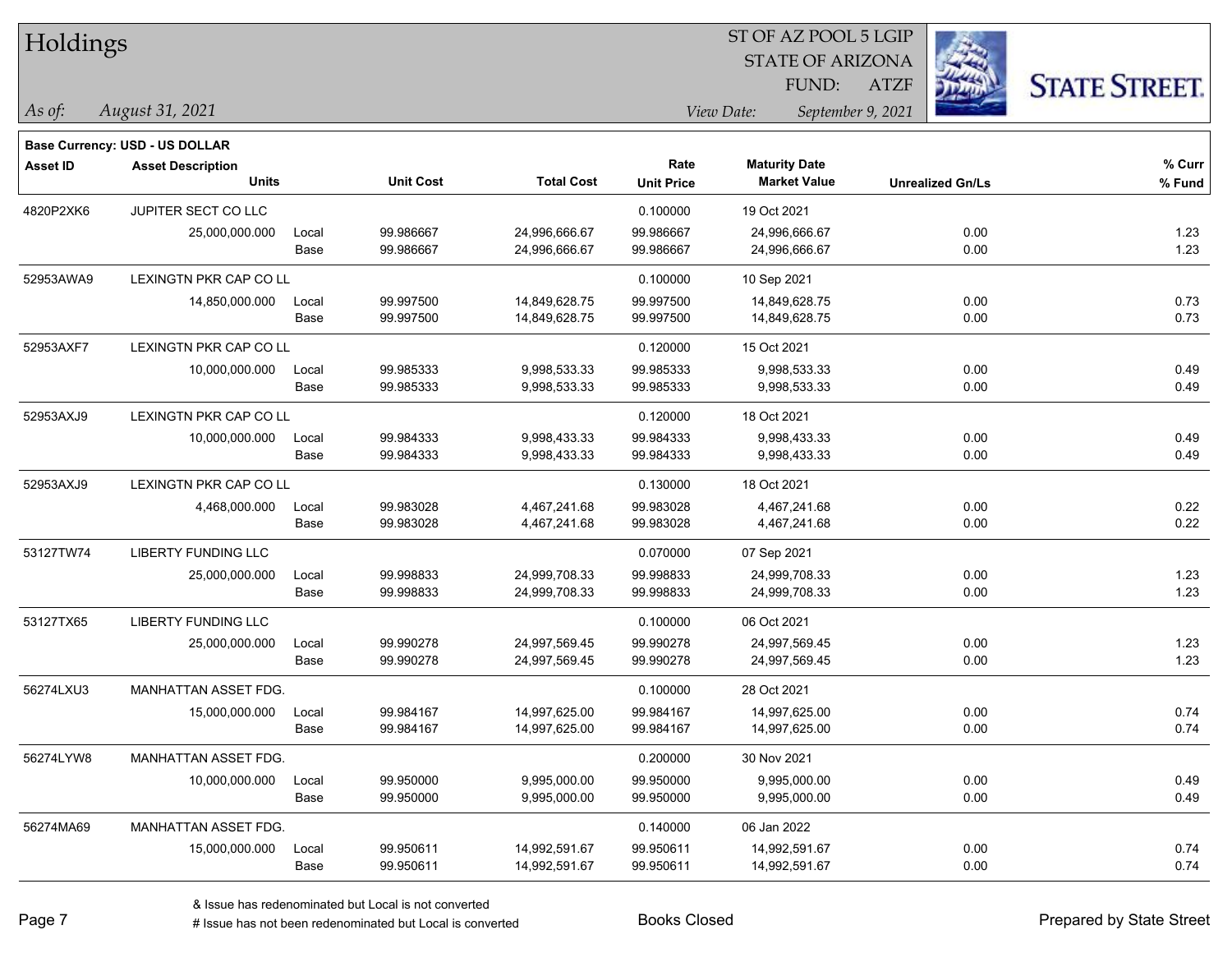| Holdings        |                                       |       |                  |                   |                   | ST OF AZ POOL 5 LGIP |                         |                         |                      |
|-----------------|---------------------------------------|-------|------------------|-------------------|-------------------|----------------------|-------------------------|-------------------------|----------------------|
|                 |                                       |       |                  |                   |                   |                      | <b>STATE OF ARIZONA</b> |                         |                      |
|                 |                                       |       |                  |                   |                   | FUND:                | <b>ATZF</b>             |                         | <b>STATE STREET.</b> |
| $\vert$ As of:  | August 31, 2021                       |       |                  |                   |                   | View Date:           | September 9, 2021       |                         |                      |
|                 | <b>Base Currency: USD - US DOLLAR</b> |       |                  |                   |                   |                      |                         |                         |                      |
| <b>Asset ID</b> | <b>Asset Description</b>              |       |                  |                   | Rate              | <b>Maturity Date</b> |                         |                         | $%$ Curr             |
|                 | <b>Units</b>                          |       | <b>Unit Cost</b> | <b>Total Cost</b> | <b>Unit Price</b> | <b>Market Value</b>  |                         | <b>Unrealized Gn/Ls</b> | % Fund               |
| 4820P2XK6       | JUPITER SECT CO LLC                   |       |                  |                   | 0.100000          | 19 Oct 2021          |                         |                         |                      |
|                 | 25,000,000.000                        | Local | 99.986667        | 24,996,666.67     | 99.986667         | 24,996,666.67        |                         | 0.00                    | 1.23                 |
|                 |                                       | Base  | 99.986667        | 24,996,666.67     | 99.986667         | 24,996,666.67        |                         | 0.00                    | 1.23                 |
| 52953AWA9       | <b>LEXINGTN PKR CAP CO LL</b>         |       |                  |                   | 0.100000          | 10 Sep 2021          |                         |                         |                      |
|                 | 14,850,000.000                        | Local | 99.997500        | 14,849,628.75     | 99.997500         | 14,849,628.75        |                         | 0.00                    | 0.73                 |
|                 |                                       | Base  | 99.997500        | 14,849,628.75     | 99.997500         | 14,849,628.75        |                         | 0.00                    | 0.73                 |
| 52953AXF7       | <b>LEXINGTN PKR CAP CO LL</b>         |       |                  |                   | 0.120000          | 15 Oct 2021          |                         |                         |                      |
|                 | 10,000,000.000                        | Local | 99.985333        | 9,998,533.33      | 99.985333         | 9,998,533.33         |                         | 0.00                    | 0.49                 |
|                 |                                       | Base  | 99.985333        | 9,998,533.33      | 99.985333         | 9,998,533.33         |                         | 0.00                    | 0.49                 |
| 52953AXJ9       | LEXINGTN PKR CAP CO LL                |       |                  |                   | 0.120000          | 18 Oct 2021          |                         |                         |                      |
|                 | 10,000,000.000                        | Local | 99.984333        | 9,998,433.33      | 99.984333         | 9,998,433.33         |                         | 0.00                    | 0.49                 |
|                 |                                       | Base  | 99.984333        | 9,998,433.33      | 99.984333         | 9,998,433.33         |                         | 0.00                    | 0.49                 |
| 52953AXJ9       | LEXINGTN PKR CAP CO LL                |       |                  |                   | 0.130000          | 18 Oct 2021          |                         |                         |                      |
|                 | 4,468,000.000                         | Local | 99.983028        | 4,467,241.68      | 99.983028         | 4,467,241.68         |                         | 0.00                    | 0.22                 |
|                 |                                       | Base  | 99.983028        | 4,467,241.68      | 99.983028         | 4,467,241.68         |                         | 0.00                    | 0.22                 |
| 53127TW74       | <b>LIBERTY FUNDING LLC</b>            |       |                  |                   | 0.070000          | 07 Sep 2021          |                         |                         |                      |
|                 | 25,000,000.000                        | Local | 99.998833        | 24,999,708.33     | 99.998833         | 24,999,708.33        |                         | 0.00                    | 1.23                 |
|                 |                                       | Base  | 99.998833        | 24,999,708.33     | 99.998833         | 24,999,708.33        |                         | 0.00                    | 1.23                 |
| 53127TX65       | <b>LIBERTY FUNDING LLC</b>            |       |                  |                   | 0.100000          | 06 Oct 2021          |                         |                         |                      |
|                 | 25,000,000.000                        | Local | 99.990278        | 24,997,569.45     | 99.990278         | 24,997,569.45        |                         | 0.00                    | 1.23                 |
|                 |                                       | Base  | 99.990278        | 24,997,569.45     | 99.990278         | 24,997,569.45        |                         | 0.00                    | 1.23                 |
| 56274LXU3       | <b>MANHATTAN ASSET FDG.</b>           |       |                  |                   | 0.100000          | 28 Oct 2021          |                         |                         |                      |
|                 | 15,000,000.000                        | Local | 99.984167        | 14,997,625.00     | 99.984167         | 14,997,625.00        |                         | 0.00                    | 0.74                 |
|                 |                                       | Base  | 99.984167        | 14,997,625.00     | 99.984167         | 14,997,625.00        |                         | 0.00                    | 0.74                 |
| 56274LYW8       | MANHATTAN ASSET FDG.                  |       |                  |                   | 0.200000          | 30 Nov 2021          |                         |                         |                      |
|                 | 10,000,000.000                        | Local | 99.950000        | 9,995,000.00      | 99.950000         | 9,995,000.00         |                         | 0.00                    | 0.49                 |
|                 |                                       | Base  | 99.950000        | 9,995,000.00      | 99.950000         | 9,995,000.00         |                         | 0.00                    | 0.49                 |
| 56274MA69       | <b>MANHATTAN ASSET FDG.</b>           |       |                  |                   | 0.140000          | 06 Jan 2022          |                         |                         |                      |

& Issue has redenominated but Local is not converted

Page 7

# Issue has not been redenominated but Local is converted Books Closed Prepared by State Street

15,000,000.000 Local 99.950611 14,992,591.67 99.950611 14,992,591.67 0.00 0.74

Base 99.950611 14,992,591.67 99.950611 14,992,591.67 0.00 0.74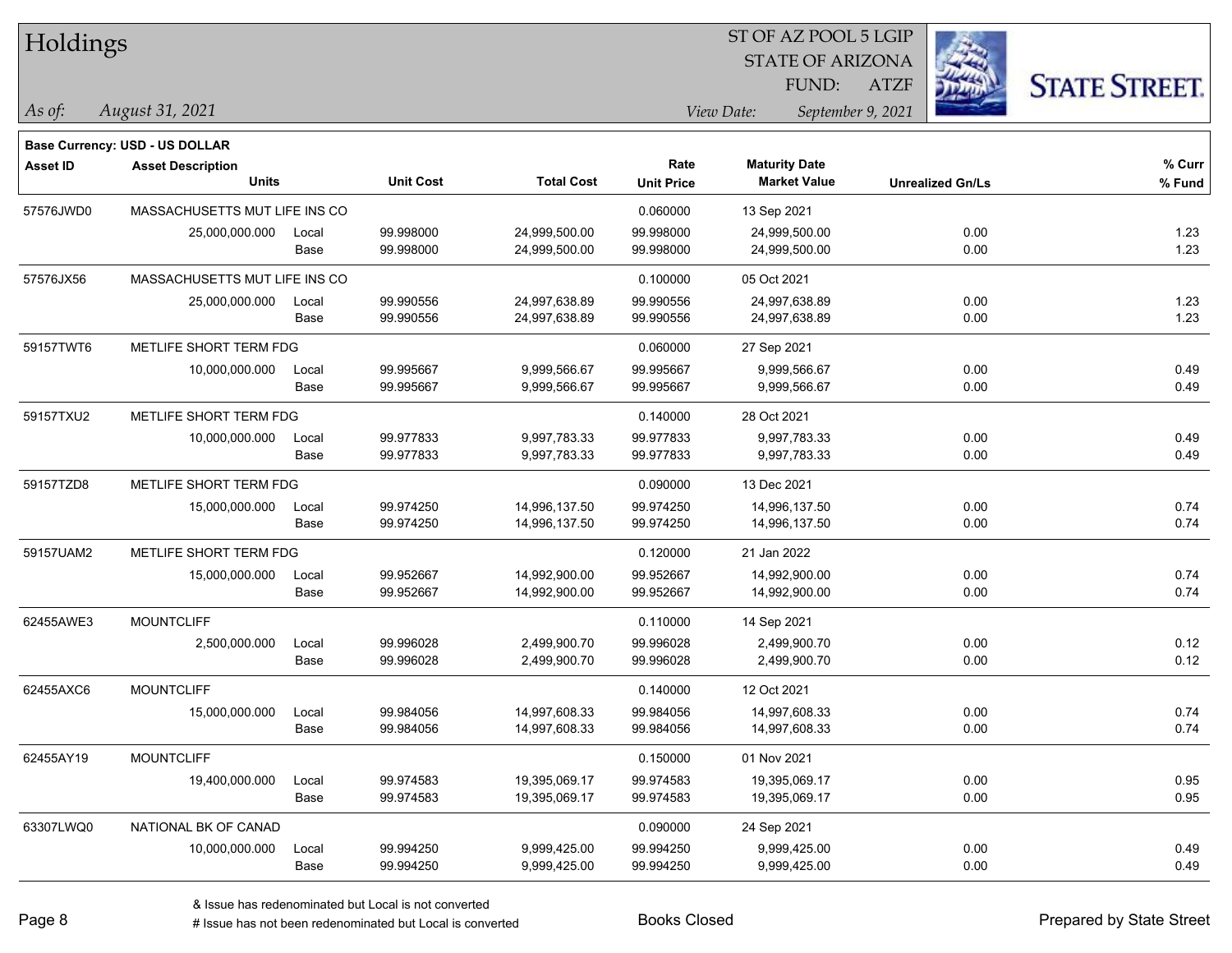| Holdings        |                                       |       |                  |                   | 51 OF AZ POOL 5 LGIP |                                 |                         |                     |  |  |  |
|-----------------|---------------------------------------|-------|------------------|-------------------|----------------------|---------------------------------|-------------------------|---------------------|--|--|--|
|                 |                                       |       |                  |                   |                      | <b>STATE OF ARIZONA</b>         |                         |                     |  |  |  |
|                 |                                       |       |                  |                   |                      | FUND:                           | <b>ATZF</b>             | <b>STATE STREET</b> |  |  |  |
| As of:          | August 31, 2021                       |       |                  |                   |                      | View Date:<br>September 9, 2021 |                         |                     |  |  |  |
|                 | <b>Base Currency: USD - US DOLLAR</b> |       |                  |                   |                      |                                 |                         |                     |  |  |  |
| <b>Asset ID</b> | <b>Asset Description</b>              |       |                  |                   | Rate                 | <b>Maturity Date</b>            |                         | % Curr              |  |  |  |
|                 | <b>Units</b>                          |       | <b>Unit Cost</b> | <b>Total Cost</b> | <b>Unit Price</b>    | <b>Market Value</b>             | <b>Unrealized Gn/Ls</b> | % Fund              |  |  |  |
| 57576JWD0       | MASSACHUSETTS MUT LIFE INS CO         |       |                  |                   | 0.060000             | 13 Sep 2021                     |                         |                     |  |  |  |
|                 | 25,000,000.000                        | Local | 99.998000        | 24,999,500.00     | 99.998000            | 24,999,500.00                   | 0.00                    | 1.23                |  |  |  |
|                 |                                       | Base  | 99.998000        | 24,999,500.00     | 99.998000            | 24,999,500.00                   | 0.00                    | 1.23                |  |  |  |
| 57576JX56       | MASSACHUSETTS MUT LIFE INS CO         |       |                  |                   | 0.100000             | 05 Oct 2021                     |                         |                     |  |  |  |
|                 | 25,000,000.000                        | Local | 99.990556        | 24,997,638.89     | 99.990556            | 24,997,638.89                   | 0.00                    | 1.23                |  |  |  |
|                 |                                       | Base  | 99.990556        | 24,997,638.89     | 99.990556            | 24,997,638.89                   | 0.00                    | 1.23                |  |  |  |
| 59157TWT6       | METLIFE SHORT TERM FDG                |       |                  |                   | 0.060000             | 27 Sep 2021                     |                         |                     |  |  |  |
|                 | 10,000,000.000                        | Local | 99.995667        | 9,999,566.67      | 99.995667            | 9,999,566.67                    | 0.00                    | 0.49                |  |  |  |
|                 |                                       | Base  | 99.995667        | 9,999,566.67      | 99.995667            | 9,999,566.67                    | 0.00                    | 0.49                |  |  |  |
| 59157TXU2       | METLIFE SHORT TERM FDG                |       |                  |                   | 0.140000             | 28 Oct 2021                     |                         |                     |  |  |  |
|                 | 10,000,000.000                        | Local | 99.977833        | 9,997,783.33      | 99.977833            | 9,997,783.33                    | 0.00                    | 0.49                |  |  |  |
|                 |                                       | Base  | 99.977833        | 9,997,783.33      | 99.977833            | 9,997,783.33                    | 0.00                    | 0.49                |  |  |  |
| 59157TZD8       | METLIFE SHORT TERM FDG                |       |                  |                   | 0.090000             | 13 Dec 2021                     |                         |                     |  |  |  |
|                 | 15,000,000.000                        | Local | 99.974250        | 14,996,137.50     | 99.974250            | 14,996,137.50                   | 0.00                    | 0.74                |  |  |  |
|                 |                                       | Base  | 99.974250        | 14,996,137.50     | 99.974250            | 14,996,137.50                   | 0.00                    | 0.74                |  |  |  |
| 59157UAM2       | METLIFE SHORT TERM FDG                |       |                  |                   | 0.120000             | 21 Jan 2022                     |                         |                     |  |  |  |
|                 | 15,000,000.000                        | Local | 99.952667        | 14,992,900.00     | 99.952667            | 14,992,900.00                   | 0.00                    | 0.74                |  |  |  |
|                 |                                       | Base  | 99.952667        | 14,992,900.00     | 99.952667            | 14,992,900.00                   | 0.00                    | 0.74                |  |  |  |
| 62455AWE3       | <b>MOUNTCLIFF</b>                     |       |                  |                   | 0.110000             | 14 Sep 2021                     |                         |                     |  |  |  |
|                 | 2,500,000.000                         | Local | 99.996028        | 2,499,900.70      | 99.996028            | 2,499,900.70                    | 0.00                    | 0.12                |  |  |  |
|                 |                                       | Base  | 99.996028        | 2,499,900.70      | 99.996028            | 2,499,900.70                    | 0.00                    | 0.12                |  |  |  |
| 62455AXC6       | <b>MOUNTCLIFF</b>                     |       |                  |                   | 0.140000             | 12 Oct 2021                     |                         |                     |  |  |  |
|                 | 15,000,000.000                        | Local | 99.984056        | 14,997,608.33     | 99.984056            | 14,997,608.33                   | 0.00                    | 0.74                |  |  |  |
|                 |                                       | Base  | 99.984056        | 14,997,608.33     | 99.984056            | 14,997,608.33                   | 0.00                    | 0.74                |  |  |  |
| 62455AY19       | <b>MOUNTCLIFF</b>                     |       |                  |                   | 0.150000             | 01 Nov 2021                     |                         |                     |  |  |  |
|                 | 19,400,000.000                        | Local | 99.974583        | 19,395,069.17     | 99.974583            | 19,395,069.17                   | 0.00                    | 0.95                |  |  |  |
|                 |                                       | Base  | 99.974583        | 19,395,069.17     | 99.974583            | 19,395,069.17                   | 0.00                    | 0.95                |  |  |  |
| 63307LWQ0       | NATIONAL BK OF CANAD                  |       |                  |                   | 0.090000             | 24 Sep 2021                     |                         |                     |  |  |  |
|                 | 10,000,000.000                        | Local | 99.994250        | 9,999,425.00      | 99.994250            | 9,999,425.00                    | 0.00                    | 0.49                |  |  |  |
|                 |                                       | Base  | 99.994250        | 9,999,425.00      | 99.994250            | 9,999,425.00                    | 0.00                    | 0.49                |  |  |  |

 $ST$  OF AZ POOL 5 LGIP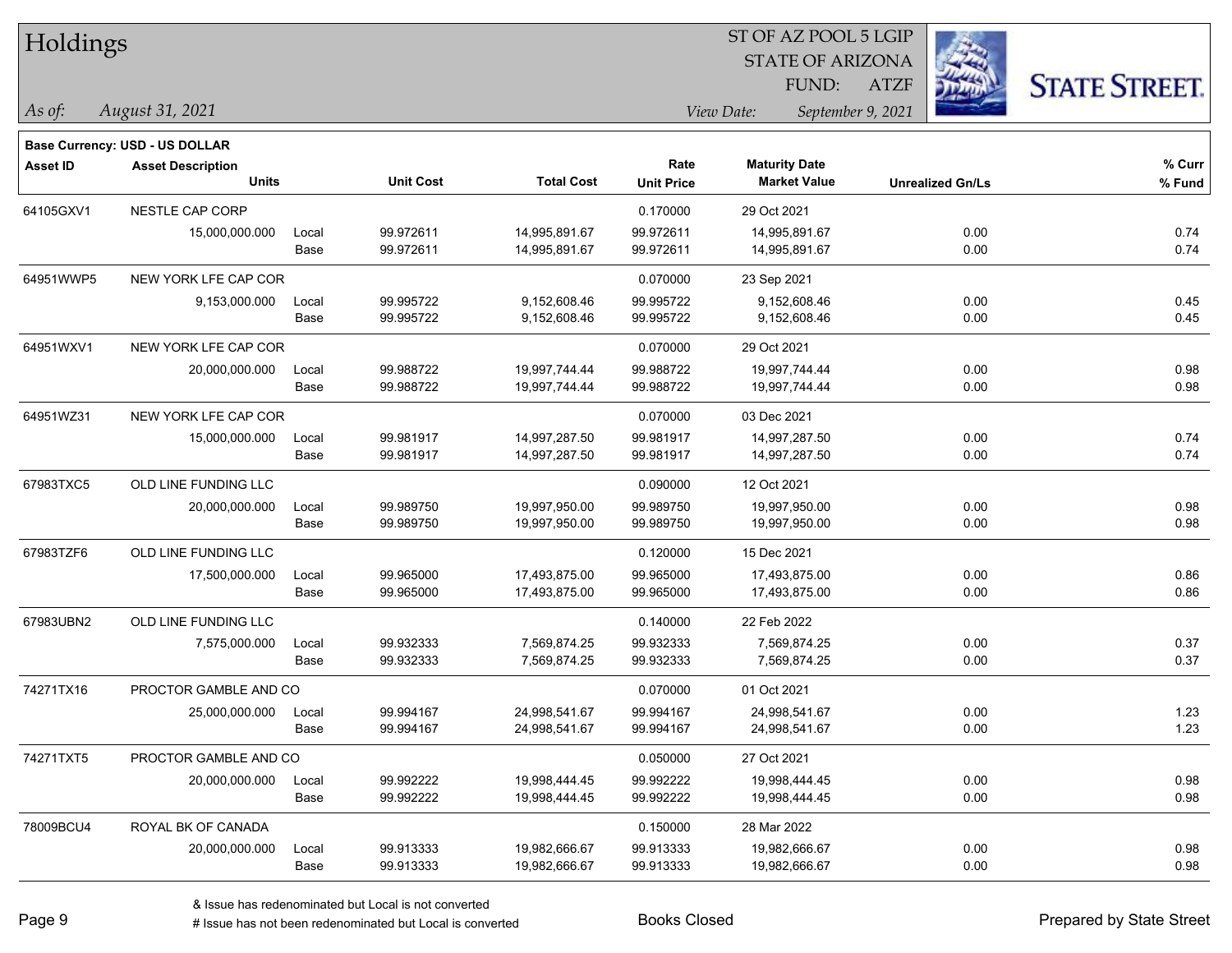| Holdings        |                                          |       |                  |                   |                           | ST OF AZ POOL 5 LGIP                        |                   |                         |                      |
|-----------------|------------------------------------------|-------|------------------|-------------------|---------------------------|---------------------------------------------|-------------------|-------------------------|----------------------|
|                 |                                          |       |                  |                   |                           | <b>STATE OF ARIZONA</b>                     |                   |                         |                      |
|                 |                                          |       |                  |                   |                           | FUND:                                       | <b>ATZF</b>       |                         | <b>STATE STREET.</b> |
| As of:          | August 31, 2021                          |       |                  |                   |                           | View Date:                                  | September 9, 2021 |                         |                      |
|                 |                                          |       |                  |                   |                           |                                             |                   |                         |                      |
|                 | Base Currency: USD - US DOLLAR           |       |                  |                   |                           |                                             |                   |                         |                      |
| <b>Asset ID</b> | <b>Asset Description</b><br><b>Units</b> |       | <b>Unit Cost</b> | <b>Total Cost</b> | Rate<br><b>Unit Price</b> | <b>Maturity Date</b><br><b>Market Value</b> |                   | <b>Unrealized Gn/Ls</b> | % Curr<br>% Fund     |
|                 |                                          |       |                  |                   |                           |                                             |                   |                         |                      |
| 64105GXV1       | NESTLE CAP CORP                          |       |                  |                   | 0.170000                  | 29 Oct 2021                                 |                   |                         |                      |
|                 | 15,000,000.000                           | Local | 99.972611        | 14,995,891.67     | 99.972611                 | 14,995,891.67                               |                   | 0.00                    | 0.74                 |
|                 |                                          | Base  | 99.972611        | 14,995,891.67     | 99.972611                 | 14,995,891.67                               |                   | 0.00                    | 0.74                 |
| 64951WWP5       | NEW YORK LFE CAP COR                     |       |                  |                   | 0.070000                  | 23 Sep 2021                                 |                   |                         |                      |
|                 | 9,153,000.000                            | Local | 99.995722        | 9,152,608.46      | 99.995722                 | 9,152,608.46                                |                   | 0.00                    | 0.45                 |
|                 |                                          | Base  | 99.995722        | 9,152,608.46      | 99.995722                 | 9,152,608.46                                |                   | 0.00                    | 0.45                 |
| 64951WXV1       | NEW YORK LFE CAP COR                     |       |                  |                   | 0.070000                  | 29 Oct 2021                                 |                   |                         |                      |
|                 | 20,000,000.000                           | Local | 99.988722        | 19,997,744.44     | 99.988722                 | 19,997,744.44                               |                   | 0.00                    | 0.98                 |
|                 |                                          | Base  | 99.988722        | 19,997,744.44     | 99.988722                 | 19,997,744.44                               |                   | 0.00                    | 0.98                 |
| 64951WZ31       | NEW YORK LFE CAP COR                     |       |                  |                   | 0.070000                  | 03 Dec 2021                                 |                   |                         |                      |
|                 | 15,000,000.000                           | Local | 99.981917        | 14,997,287.50     | 99.981917                 | 14,997,287.50                               |                   | 0.00                    | 0.74                 |
|                 |                                          | Base  | 99.981917        | 14,997,287.50     | 99.981917                 | 14,997,287.50                               |                   | 0.00                    | 0.74                 |
| 67983TXC5       | OLD LINE FUNDING LLC                     |       |                  |                   | 0.090000                  | 12 Oct 2021                                 |                   |                         |                      |
|                 | 20,000,000.000                           | Local | 99.989750        | 19,997,950.00     | 99.989750                 | 19,997,950.00                               |                   | 0.00                    | 0.98                 |
|                 |                                          | Base  | 99.989750        | 19,997,950.00     | 99.989750                 | 19,997,950.00                               |                   | 0.00                    | 0.98                 |
| 67983TZF6       | OLD LINE FUNDING LLC                     |       |                  |                   | 0.120000                  | 15 Dec 2021                                 |                   |                         |                      |
|                 | 17,500,000.000                           | Local | 99.965000        | 17,493,875.00     | 99.965000                 | 17,493,875.00                               |                   | 0.00                    | 0.86                 |
|                 |                                          | Base  | 99.965000        | 17,493,875.00     | 99.965000                 | 17,493,875.00                               |                   | 0.00                    | 0.86                 |
| 67983UBN2       | OLD LINE FUNDING LLC                     |       |                  |                   | 0.140000                  | 22 Feb 2022                                 |                   |                         |                      |
|                 | 7,575,000.000                            | Local | 99.932333        | 7,569,874.25      | 99.932333                 | 7,569,874.25                                |                   | 0.00                    | 0.37                 |
|                 |                                          | Base  | 99.932333        | 7,569,874.25      | 99.932333                 | 7,569,874.25                                |                   | 0.00                    | 0.37                 |
| 74271TX16       | PROCTOR GAMBLE AND CO                    |       |                  |                   | 0.070000                  | 01 Oct 2021                                 |                   |                         |                      |
|                 | 25,000,000.000                           | Local | 99.994167        | 24,998,541.67     | 99.994167                 | 24,998,541.67                               |                   | 0.00                    | 1.23                 |
|                 |                                          | Base  | 99.994167        | 24,998,541.67     | 99.994167                 | 24,998,541.67                               |                   | 0.00                    | 1.23                 |
| 74271TXT5       | PROCTOR GAMBLE AND CO                    |       |                  |                   | 0.050000                  | 27 Oct 2021                                 |                   |                         |                      |
|                 | 20,000,000.000                           | Local | 99.992222        | 19,998,444.45     | 99.992222                 | 19,998,444.45                               |                   | 0.00                    | 0.98                 |
|                 |                                          | Base  | 99.992222        | 19,998,444.45     | 99.992222                 | 19,998,444.45                               |                   | 0.00                    | 0.98                 |
| 78009BCU4       | ROYAL BK OF CANADA                       |       |                  |                   | 0.150000                  | 28 Mar 2022                                 |                   |                         |                      |
|                 | 20,000,000.000                           | Local | 99.913333        | 19,982,666.67     | 99.913333                 | 19,982,666.67                               |                   | 0.00                    | 0.98                 |
|                 |                                          | Base  | 99.913333        | 19,982,666.67     | 99.913333                 | 19,982,666.67                               |                   | 0.00                    | 0.98                 |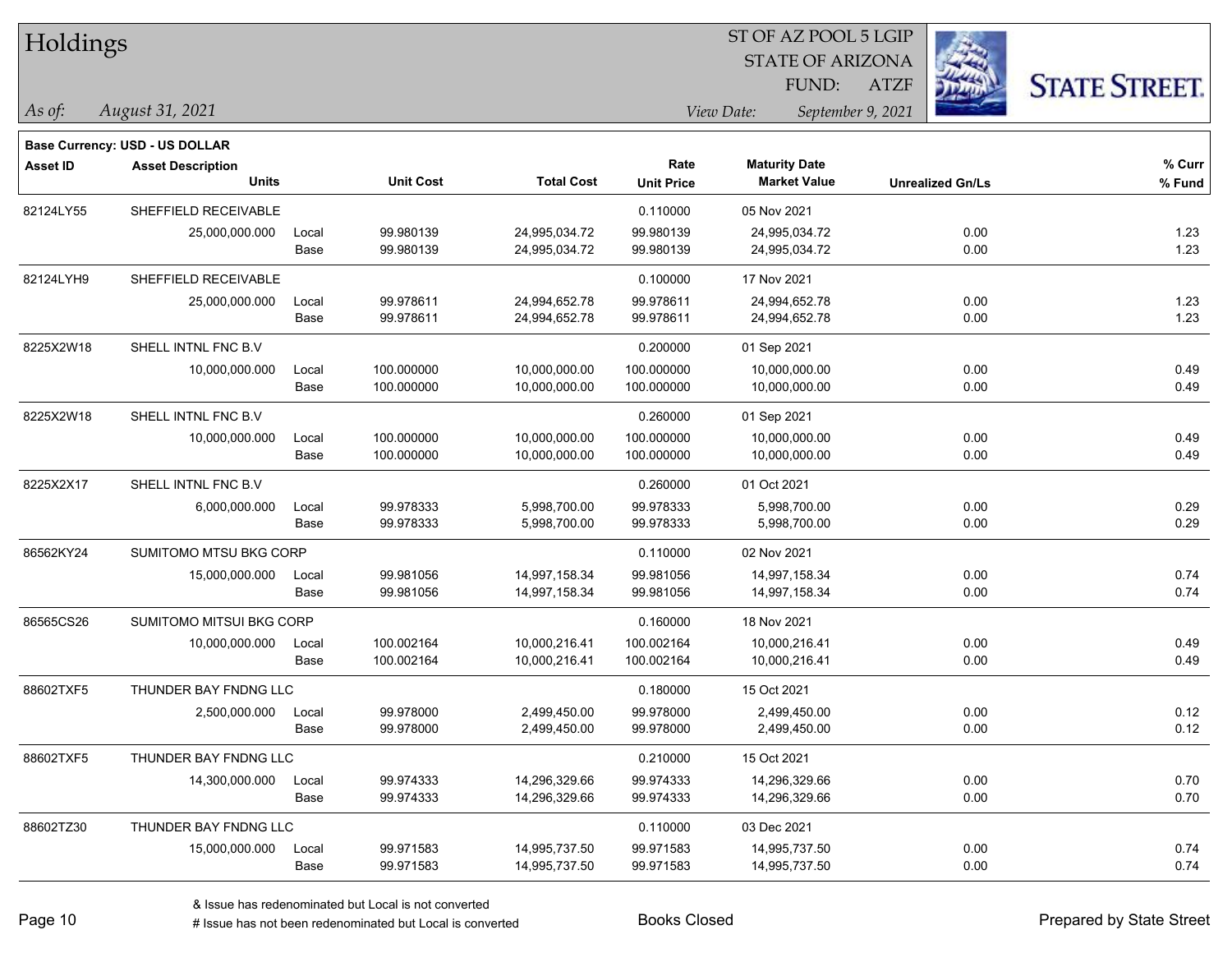| Holdings        |                                |       |                  |                   |                   | ST OF AZ POOL 5 LGIP |                         |                         |                      |
|-----------------|--------------------------------|-------|------------------|-------------------|-------------------|----------------------|-------------------------|-------------------------|----------------------|
|                 |                                |       |                  |                   |                   |                      | <b>STATE OF ARIZONA</b> |                         |                      |
|                 |                                |       |                  |                   |                   | FUND:                | <b>ATZF</b>             |                         | <b>STATE STREET.</b> |
| As of:          | August 31, 2021                |       |                  |                   |                   | View Date:           | September 9, 2021       |                         |                      |
|                 | Base Currency: USD - US DOLLAR |       |                  |                   |                   |                      |                         |                         |                      |
| <b>Asset ID</b> | <b>Asset Description</b>       |       |                  |                   | Rate              | <b>Maturity Date</b> |                         |                         | % Curr               |
|                 | <b>Units</b>                   |       | <b>Unit Cost</b> | <b>Total Cost</b> | <b>Unit Price</b> | <b>Market Value</b>  |                         | <b>Unrealized Gn/Ls</b> | % Fund               |
| 82124LY55       | SHEFFIELD RECEIVABLE           |       |                  |                   | 0.110000          | 05 Nov 2021          |                         |                         |                      |
|                 | 25,000,000.000                 | Local | 99.980139        | 24,995,034.72     | 99.980139         | 24,995,034.72        |                         | 0.00                    | 1.23                 |
|                 |                                | Base  | 99.980139        | 24,995,034.72     | 99.980139         | 24,995,034.72        |                         | 0.00                    | 1.23                 |
| 82124LYH9       | SHEFFIELD RECEIVABLE           |       |                  |                   | 0.100000          | 17 Nov 2021          |                         |                         |                      |
|                 | 25,000,000.000                 | Local | 99.978611        | 24,994,652.78     | 99.978611         | 24,994,652.78        |                         | 0.00                    | 1.23                 |
|                 |                                | Base  | 99.978611        | 24,994,652.78     | 99.978611         | 24,994,652.78        |                         | 0.00                    | 1.23                 |
| 8225X2W18       | SHELL INTNL FNC B.V            |       |                  |                   | 0.200000          | 01 Sep 2021          |                         |                         |                      |
|                 | 10,000,000.000                 | Local | 100.000000       | 10,000,000.00     | 100.000000        | 10,000,000.00        |                         | 0.00                    | 0.49                 |
|                 |                                | Base  | 100.000000       | 10,000,000.00     | 100.000000        | 10,000,000.00        |                         | 0.00                    | 0.49                 |
| 8225X2W18       | SHELL INTNL FNC B.V            |       |                  |                   | 0.260000          | 01 Sep 2021          |                         |                         |                      |
|                 | 10,000,000.000                 | Local | 100.000000       | 10,000,000.00     | 100.000000        | 10,000,000.00        |                         | 0.00                    | 0.49                 |
|                 |                                | Base  | 100.000000       | 10,000,000.00     | 100.000000        | 10,000,000.00        |                         | 0.00                    | 0.49                 |
| 8225X2X17       | SHELL INTNL FNC B.V            |       |                  |                   | 0.260000          | 01 Oct 2021          |                         |                         |                      |
|                 | 6,000,000.000                  | Local | 99.978333        | 5,998,700.00      | 99.978333         | 5,998,700.00         |                         | 0.00                    | 0.29                 |
|                 |                                | Base  | 99.978333        | 5,998,700.00      | 99.978333         | 5,998,700.00         |                         | 0.00                    | 0.29                 |
| 86562KY24       | SUMITOMO MTSU BKG CORP         |       |                  |                   | 0.110000          | 02 Nov 2021          |                         |                         |                      |
|                 | 15,000,000.000                 | Local | 99.981056        | 14,997,158.34     | 99.981056         | 14,997,158.34        |                         | 0.00                    | 0.74                 |
|                 |                                | Base  | 99.981056        | 14,997,158.34     | 99.981056         | 14,997,158.34        |                         | 0.00                    | 0.74                 |
| 86565CS26       | SUMITOMO MITSUI BKG CORP       |       |                  |                   | 0.160000          | 18 Nov 2021          |                         |                         |                      |
|                 | 10,000,000.000                 | Local | 100.002164       | 10,000,216.41     | 100.002164        | 10,000,216.41        |                         | 0.00                    | 0.49                 |
|                 |                                | Base  | 100.002164       | 10,000,216.41     | 100.002164        | 10,000,216.41        |                         | 0.00                    | 0.49                 |
| 88602TXF5       | THUNDER BAY FNDNG LLC          |       |                  |                   | 0.180000          | 15 Oct 2021          |                         |                         |                      |
|                 | 2,500,000.000                  | Local | 99.978000        | 2,499,450.00      | 99.978000         | 2,499,450.00         |                         | 0.00                    | 0.12                 |
|                 |                                | Base  | 99.978000        | 2,499,450.00      | 99.978000         | 2,499,450.00         |                         | 0.00                    | 0.12                 |
| 88602TXF5       | THUNDER BAY FNDNG LLC          |       |                  |                   | 0.210000          | 15 Oct 2021          |                         |                         |                      |
|                 | 14,300,000.000                 | Local | 99.974333        | 14,296,329.66     | 99.974333         | 14,296,329.66        |                         | 0.00                    | 0.70                 |
|                 |                                | Base  | 99.974333        | 14,296,329.66     | 99.974333         | 14,296,329.66        |                         | 0.00                    | 0.70                 |
| 88602TZ30       | THUNDER BAY FNDNG LLC          |       |                  |                   | 0.110000          | 03 Dec 2021          |                         |                         |                      |
|                 | 15,000,000.000                 | Local | 99.971583        | 14,995,737.50     | 99.971583         | 14,995,737.50        |                         | 0.00                    | 0.74                 |
|                 |                                | Base  | 99.971583        | 14,995,737.50     | 99.971583         | 14,995,737.50        |                         | 0.00                    | 0.74                 |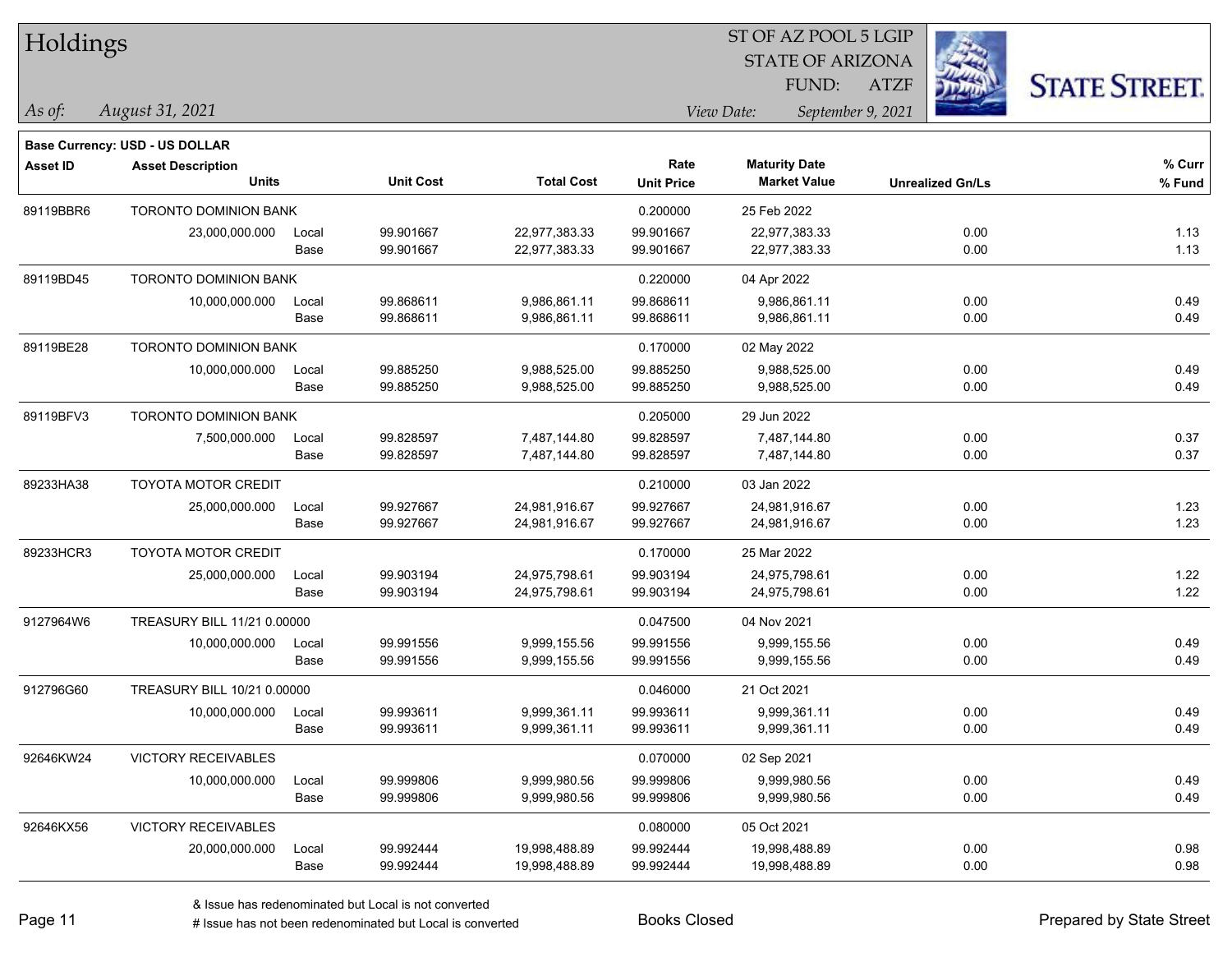| Holdings        |                                          |       |                  |                   |                   | ST OF AZ POOL 5 LGIP                        |                         |                      |
|-----------------|------------------------------------------|-------|------------------|-------------------|-------------------|---------------------------------------------|-------------------------|----------------------|
|                 |                                          |       |                  |                   |                   | <b>STATE OF ARIZONA</b>                     |                         |                      |
|                 |                                          |       |                  |                   |                   | FUND:                                       | <b>ATZF</b>             | <b>STATE STREET.</b> |
| $\vert$ As of:  | August 31, 2021                          |       |                  |                   |                   | View Date:<br>September 9, 2021             |                         |                      |
|                 |                                          |       |                  |                   |                   |                                             |                         |                      |
|                 | Base Currency: USD - US DOLLAR           |       |                  |                   | Rate              |                                             |                         |                      |
| <b>Asset ID</b> | <b>Asset Description</b><br><b>Units</b> |       | <b>Unit Cost</b> | <b>Total Cost</b> | <b>Unit Price</b> | <b>Maturity Date</b><br><b>Market Value</b> | <b>Unrealized Gn/Ls</b> | % Curr<br>% Fund     |
| 89119BBR6       | <b>TORONTO DOMINION BANK</b>             |       |                  |                   | 0.200000          | 25 Feb 2022                                 |                         |                      |
|                 | 23,000,000.000                           | Local | 99.901667        | 22,977,383.33     | 99.901667         | 22,977,383.33                               | 0.00                    | 1.13                 |
|                 |                                          | Base  | 99.901667        | 22,977,383.33     | 99.901667         | 22,977,383.33                               | 0.00                    | 1.13                 |
| 89119BD45       | <b>TORONTO DOMINION BANK</b>             |       |                  |                   | 0.220000          | 04 Apr 2022                                 |                         |                      |
|                 | 10,000,000.000                           | Local | 99.868611        | 9,986,861.11      | 99.868611         | 9,986,861.11                                | 0.00                    | 0.49                 |
|                 |                                          | Base  | 99.868611        | 9,986,861.11      | 99.868611         | 9,986,861.11                                | 0.00                    | 0.49                 |
| 89119BE28       | TORONTO DOMINION BANK                    |       |                  |                   | 0.170000          | 02 May 2022                                 |                         |                      |
|                 | 10,000,000.000                           | Local | 99.885250        | 9,988,525.00      | 99.885250         | 9,988,525.00                                | 0.00                    | 0.49                 |
|                 |                                          | Base  | 99.885250        | 9,988,525.00      | 99.885250         | 9,988,525.00                                | 0.00                    | 0.49                 |
| 89119BFV3       | TORONTO DOMINION BANK                    |       |                  |                   | 0.205000          | 29 Jun 2022                                 |                         |                      |
|                 | 7,500,000.000                            | Local | 99.828597        | 7,487,144.80      | 99.828597         | 7,487,144.80                                | 0.00                    | 0.37                 |
|                 |                                          | Base  | 99.828597        | 7,487,144.80      | 99.828597         | 7,487,144.80                                | 0.00                    | 0.37                 |
| 89233HA38       | <b>TOYOTA MOTOR CREDIT</b>               |       |                  |                   | 0.210000          | 03 Jan 2022                                 |                         |                      |
|                 | 25,000,000.000                           | Local | 99.927667        | 24,981,916.67     | 99.927667         | 24,981,916.67                               | 0.00                    | 1.23                 |
|                 |                                          | Base  | 99.927667        | 24,981,916.67     | 99.927667         | 24,981,916.67                               | 0.00                    | 1.23                 |
| 89233HCR3       | <b>TOYOTA MOTOR CREDIT</b>               |       |                  |                   | 0.170000          | 25 Mar 2022                                 |                         |                      |
|                 | 25,000,000.000                           | Local | 99.903194        | 24,975,798.61     | 99.903194         | 24,975,798.61                               | 0.00                    | 1.22                 |
|                 |                                          | Base  | 99.903194        | 24,975,798.61     | 99.903194         | 24,975,798.61                               | 0.00                    | 1.22                 |
| 9127964W6       | TREASURY BILL 11/21 0.00000              |       |                  |                   | 0.047500          | 04 Nov 2021                                 |                         |                      |
|                 | 10,000,000.000                           | Local | 99.991556        | 9,999,155.56      | 99.991556         | 9,999,155.56                                | 0.00                    | 0.49                 |
|                 |                                          | Base  | 99.991556        | 9,999,155.56      | 99.991556         | 9,999,155.56                                | 0.00                    | 0.49                 |
| 912796G60       | TREASURY BILL 10/21 0.00000              |       |                  |                   | 0.046000          | 21 Oct 2021                                 |                         |                      |
|                 | 10,000,000.000                           | Local | 99.993611        | 9,999,361.11      | 99.993611         | 9,999,361.11                                | 0.00                    | 0.49                 |
|                 |                                          | Base  | 99.993611        | 9,999,361.11      | 99.993611         | 9,999,361.11                                | 0.00                    | 0.49                 |
| 92646KW24       | VICTORY RECEIVABLES                      |       |                  |                   | 0.070000          | 02 Sep 2021                                 |                         |                      |
|                 | 10,000,000.000                           | Local | 99.999806        | 9,999,980.56      | 99.999806         | 9,999,980.56                                | 0.00                    | 0.49                 |
|                 |                                          | Base  | 99.999806        | 9,999,980.56      | 99.999806         | 9,999,980.56                                | 0.00                    | 0.49                 |
| 92646KX56       | <b>VICTORY RECEIVABLES</b>               |       |                  |                   | 0.080000          | 05 Oct 2021                                 |                         |                      |
|                 | 20,000,000.000                           | Local | 99.992444        | 19,998,488.89     | 99.992444         | 19,998,488.89                               | 0.00                    | 0.98                 |
|                 |                                          | Base  | 99.992444        | 19,998,488.89     | 99.992444         | 19,998,488.89                               | 0.00                    | 0.98                 |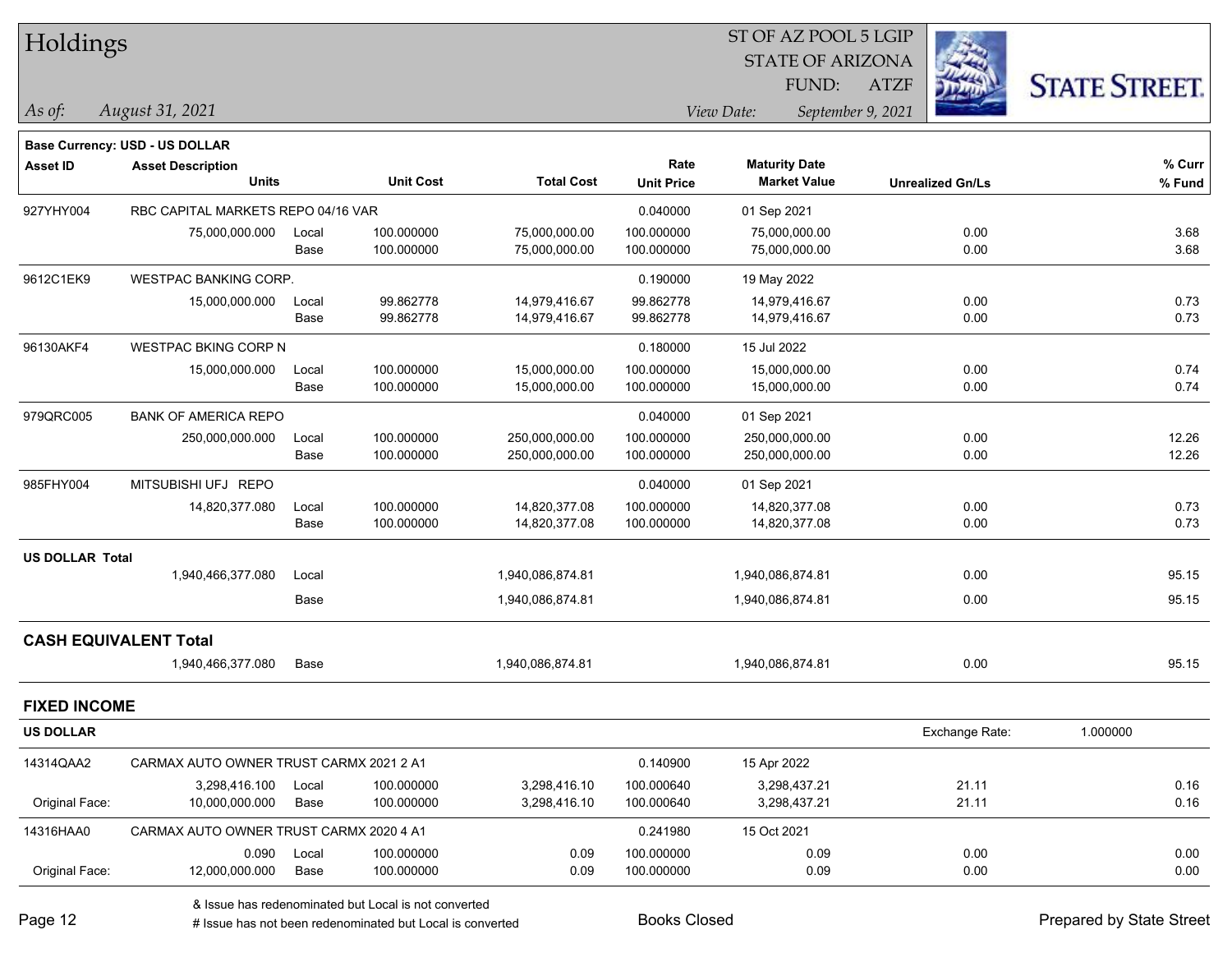| Holdings            |                                          |       |                  |                   |                           | ST OF AZ POOL 5 LGIP                        |                         |                     |  |
|---------------------|------------------------------------------|-------|------------------|-------------------|---------------------------|---------------------------------------------|-------------------------|---------------------|--|
|                     |                                          |       |                  |                   |                           | <b>STATE OF ARIZONA</b>                     |                         |                     |  |
|                     |                                          |       |                  |                   |                           | FUND:                                       | <b>ATZF</b>             | <b>STATE STREET</b> |  |
| As of:              | August 31, 2021                          |       |                  |                   |                           | View Date:                                  | September 9, 2021       |                     |  |
|                     | Base Currency: USD - US DOLLAR           |       |                  |                   |                           |                                             |                         |                     |  |
| <b>Asset ID</b>     | <b>Asset Description</b><br><b>Units</b> |       | <b>Unit Cost</b> | <b>Total Cost</b> | Rate<br><b>Unit Price</b> | <b>Maturity Date</b><br><b>Market Value</b> | <b>Unrealized Gn/Ls</b> | % Curr<br>% Fund    |  |
| 927YHY004           | RBC CAPITAL MARKETS REPO 04/16 VAR       |       |                  |                   | 0.040000                  | 01 Sep 2021                                 |                         |                     |  |
|                     | 75,000,000.000                           | Local | 100.000000       | 75,000,000.00     | 100.000000                | 75,000,000.00                               | 0.00                    | 3.68                |  |
|                     |                                          | Base  | 100.000000       | 75,000,000.00     | 100.000000                | 75,000,000.00                               | 0.00                    | 3.68                |  |
| 9612C1EK9           | <b>WESTPAC BANKING CORP.</b>             |       |                  |                   | 0.190000                  | 19 May 2022                                 |                         |                     |  |
|                     | 15,000,000.000                           | Local | 99.862778        | 14,979,416.67     | 99.862778                 | 14,979,416.67                               | 0.00                    | 0.73                |  |
|                     |                                          | Base  | 99.862778        | 14,979,416.67     | 99.862778                 | 14,979,416.67                               | 0.00                    | 0.73                |  |
| 96130AKF4           | <b>WESTPAC BKING CORP N</b>              |       |                  |                   | 0.180000                  | 15 Jul 2022                                 |                         |                     |  |
|                     | 15,000,000.000                           | Local | 100.000000       | 15,000,000.00     | 100.000000                | 15,000,000.00                               | 0.00                    | 0.74                |  |
|                     |                                          | Base  | 100.000000       | 15,000,000.00     | 100.000000                | 15,000,000.00                               | 0.00                    | 0.74                |  |
| 979QRC005           | <b>BANK OF AMERICA REPO</b>              |       |                  |                   | 0.040000                  | 01 Sep 2021                                 |                         |                     |  |
|                     | 250,000,000.000                          | Local | 100.000000       | 250,000,000.00    | 100.000000                | 250,000,000.00                              | 0.00                    | 12.26               |  |
|                     |                                          | Base  | 100.000000       | 250,000,000.00    | 100.000000                | 250,000,000.00                              | 0.00                    | 12.26               |  |
| 985FHY004           | MITSUBISHI UFJ REPO                      |       |                  |                   | 0.040000                  | 01 Sep 2021                                 |                         |                     |  |
|                     | 14,820,377.080                           | Local | 100.000000       | 14,820,377.08     | 100.000000                | 14,820,377.08                               | 0.00                    | 0.73                |  |
|                     |                                          | Base  | 100.000000       | 14,820,377.08     | 100.000000                | 14,820,377.08                               | 0.00                    | 0.73                |  |
| US DOLLAR Total     |                                          |       |                  |                   |                           |                                             |                         |                     |  |
|                     | 1,940,466,377.080                        | Local |                  | 1,940,086,874.81  |                           | 1,940,086,874.81                            | 0.00                    | 95.15               |  |
|                     |                                          | Base  |                  | 1,940,086,874.81  |                           | 1,940,086,874.81                            | 0.00                    | 95.15               |  |
|                     | <b>CASH EQUIVALENT Total</b>             |       |                  |                   |                           |                                             |                         |                     |  |
|                     | 1,940,466,377.080                        | Base  |                  | 1,940,086,874.81  |                           | 1,940,086,874.81                            | 0.00                    | 95.15               |  |
| <b>FIXED INCOME</b> |                                          |       |                  |                   |                           |                                             |                         |                     |  |
| <b>US DOLLAR</b>    |                                          |       |                  |                   |                           |                                             | Exchange Rate:          | 1.000000            |  |
| 14314QAA2           | CARMAX AUTO OWNER TRUST CARMX 2021 2 A1  |       |                  |                   | 0.140900                  | 15 Apr 2022                                 |                         |                     |  |
|                     | 3,298,416.100                            | Local | 100.000000       | 3,298,416.10      | 100.000640                | 3,298,437.21                                | 21.11                   | 0.16                |  |
| Original Face:      | 10,000,000.000                           | Base  | 100.000000       | 3,298,416.10      | 100.000640                | 3,298,437.21                                | 21.11                   | 0.16                |  |
| 14316HAA0           | CARMAX AUTO OWNER TRUST CARMX 2020 4 A1  |       |                  |                   | 0.241980                  | 15 Oct 2021                                 |                         |                     |  |
|                     | 0.090                                    | Local | 100.000000       | 0.09              | 100.000000                | 0.09                                        | 0.00                    | 0.00                |  |
| Original Face:      | 12,000,000.000                           | Base  | 100.000000       | 0.09              | 100.000000                | 0.09                                        | 0.00                    | 0.00                |  |

& Issue has redenominated but Local is not converted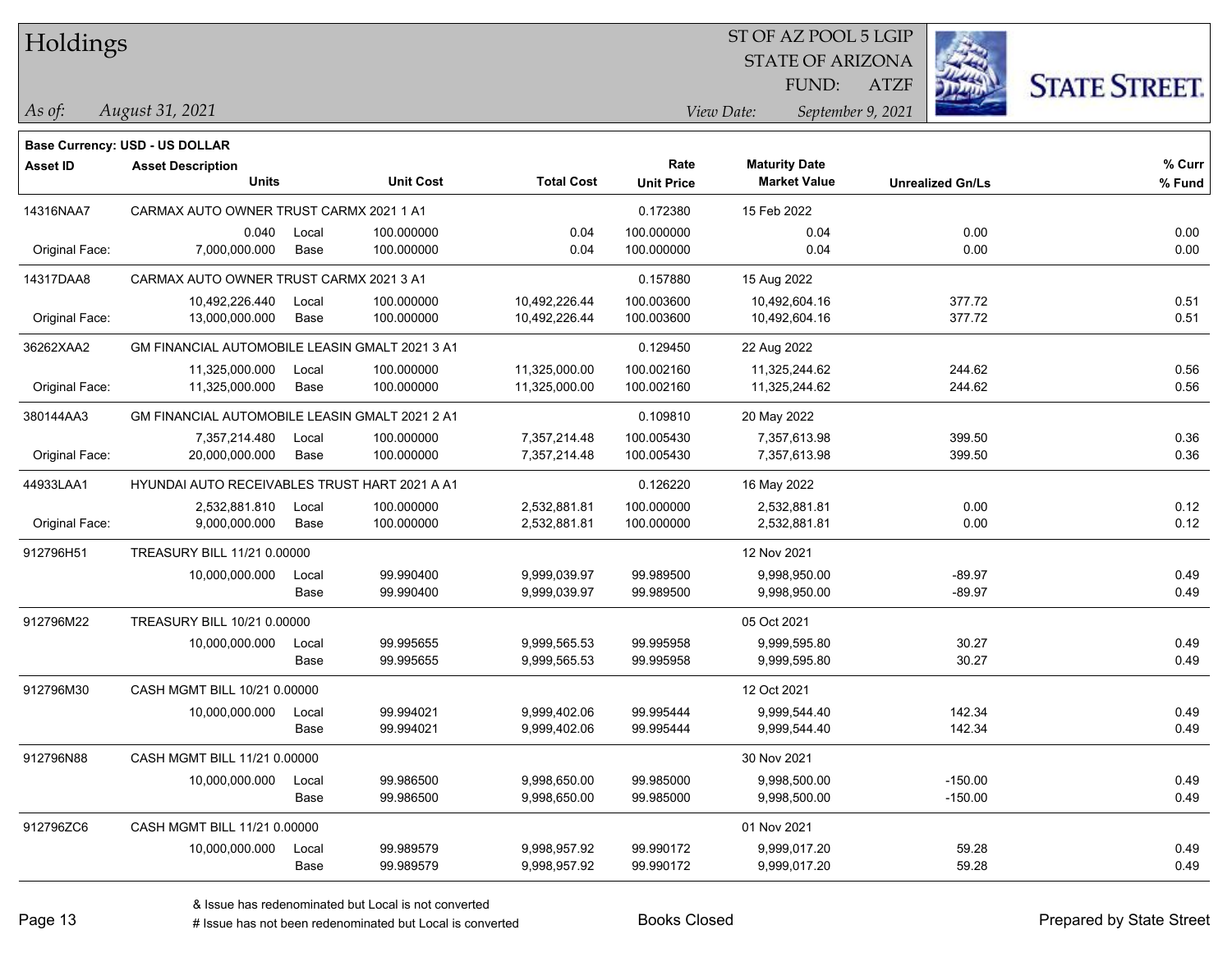Holdings

## STATE OF ARIZONA ATZF ST OF AZ POOL 5 LGIP FUND:



**Base Currency: USD - US DOLLAR**

*August 31, 2021 As of: View Date: September 9, 2021*

| <b>Asset ID</b> | <b>Asset Description</b><br><b>Units</b>       |               | <b>Unit Cost</b>         | <b>Total Cost</b>              | Rate<br><b>Unit Price</b> | <b>Maturity Date</b><br><b>Market Value</b> | <b>Unrealized Gn/Ls</b> | % Curr<br>% Fund |  |
|-----------------|------------------------------------------------|---------------|--------------------------|--------------------------------|---------------------------|---------------------------------------------|-------------------------|------------------|--|
| 14316NAA7       | CARMAX AUTO OWNER TRUST CARMX 2021 1 A1        |               |                          |                                | 0.172380                  | 15 Feb 2022                                 |                         |                  |  |
| Original Face:  | 0.040<br>7,000,000.000                         | Local<br>Base | 100.000000<br>100.000000 | 0.04<br>0.04                   | 100.000000<br>100.000000  | 0.04<br>0.04                                | 0.00<br>0.00            | 0.00<br>0.00     |  |
|                 |                                                |               |                          |                                |                           |                                             |                         |                  |  |
| 14317DAA8       | CARMAX AUTO OWNER TRUST CARMX 2021 3 A1        |               |                          | 0.157880                       | 15 Aug 2022               |                                             |                         |                  |  |
| Original Face:  | 10,492,226.440<br>13,000,000.000               | Local<br>Base | 100.000000<br>100.000000 | 10,492,226.44<br>10,492,226.44 | 100.003600<br>100.003600  | 10,492,604.16<br>10,492,604.16              | 377.72<br>377.72        | 0.51<br>0.51     |  |
| 36262XAA2       | GM FINANCIAL AUTOMOBILE LEASIN GMALT 2021 3 A1 |               |                          |                                | 0.129450                  | 22 Aug 2022                                 |                         |                  |  |
|                 | 11,325,000.000                                 | Local         | 100.000000               | 11,325,000.00                  | 100.002160                | 11,325,244.62                               | 244.62                  | 0.56             |  |
| Original Face:  | 11,325,000.000                                 | Base          | 100.000000               | 11,325,000.00                  | 100.002160                | 11,325,244.62                               | 244.62                  | 0.56             |  |
| 380144AA3       | GM FINANCIAL AUTOMOBILE LEASIN GMALT 2021 2 A1 |               |                          |                                | 0.109810                  | 20 May 2022                                 |                         |                  |  |
|                 | 7,357,214.480                                  | Local         | 100.000000               | 7,357,214.48                   | 100.005430                | 7,357,613.98                                | 399.50                  | 0.36             |  |
| Original Face:  | 20,000,000.000                                 | Base          | 100.000000               | 7,357,214.48                   | 100.005430                | 7,357,613.98                                | 399.50                  | 0.36             |  |
| 44933LAA1       | HYUNDAI AUTO RECEIVABLES TRUST HART 2021 A A1  |               |                          |                                | 0.126220                  | 16 May 2022                                 |                         |                  |  |
|                 | 2,532,881.810                                  | Local         | 100.000000               | 2,532,881.81                   | 100.000000                | 2,532,881.81                                | 0.00                    | 0.12             |  |
| Original Face:  | 9,000,000.000                                  | Base          | 100.000000               | 2,532,881.81                   | 100.000000                | 2,532,881.81                                | 0.00                    | 0.12             |  |
| 912796H51       | TREASURY BILL 11/21 0.00000                    |               |                          |                                |                           | 12 Nov 2021                                 |                         |                  |  |
|                 | 10,000,000.000                                 | Local         | 99.990400                | 9,999,039.97                   | 99.989500                 | 9,998,950.00                                | $-89.97$                | 0.49             |  |
|                 |                                                | Base          | 99.990400                | 9,999,039.97                   | 99.989500                 | 9,998,950.00                                | $-89.97$                | 0.49             |  |
| 912796M22       | TREASURY BILL 10/21 0.00000                    |               |                          |                                |                           | 05 Oct 2021                                 |                         |                  |  |
|                 | 10,000,000.000                                 | Local         | 99.995655                | 9,999,565.53                   | 99.995958                 | 9,999,595.80                                | 30.27                   | 0.49             |  |
|                 |                                                | Base          | 99.995655                | 9,999,565.53                   | 99.995958                 | 9,999,595.80                                | 30.27                   | 0.49             |  |
| 912796M30       | CASH MGMT BILL 10/21 0.00000                   |               |                          |                                |                           | 12 Oct 2021                                 |                         |                  |  |
|                 | 10,000,000.000                                 | Local         | 99.994021                | 9,999,402.06                   | 99.995444                 | 9,999,544.40                                | 142.34                  | 0.49             |  |
|                 |                                                | Base          | 99.994021                | 9,999,402.06                   | 99.995444                 | 9,999,544.40                                | 142.34                  | 0.49             |  |
| 912796N88       | CASH MGMT BILL 11/21 0.00000                   |               |                          |                                |                           | 30 Nov 2021                                 |                         |                  |  |
|                 | 10,000,000.000                                 | Local         | 99.986500                | 9,998,650.00                   | 99.985000                 | 9,998,500.00                                | $-150.00$               | 0.49             |  |
|                 |                                                | Base          | 99.986500                | 9,998,650.00                   | 99.985000                 | 9,998,500.00                                | $-150.00$               | 0.49             |  |
| 912796ZC6       | CASH MGMT BILL 11/21 0.00000                   |               |                          |                                |                           | 01 Nov 2021                                 |                         |                  |  |
|                 | 10,000,000.000                                 | Local         | 99.989579                | 9,998,957.92                   | 99.990172                 | 9,999,017.20                                | 59.28                   | 0.49             |  |
|                 |                                                | Base          | 99.989579                | 9,998,957.92                   | 99.990172                 | 9,999,017.20                                | 59.28                   | 0.49             |  |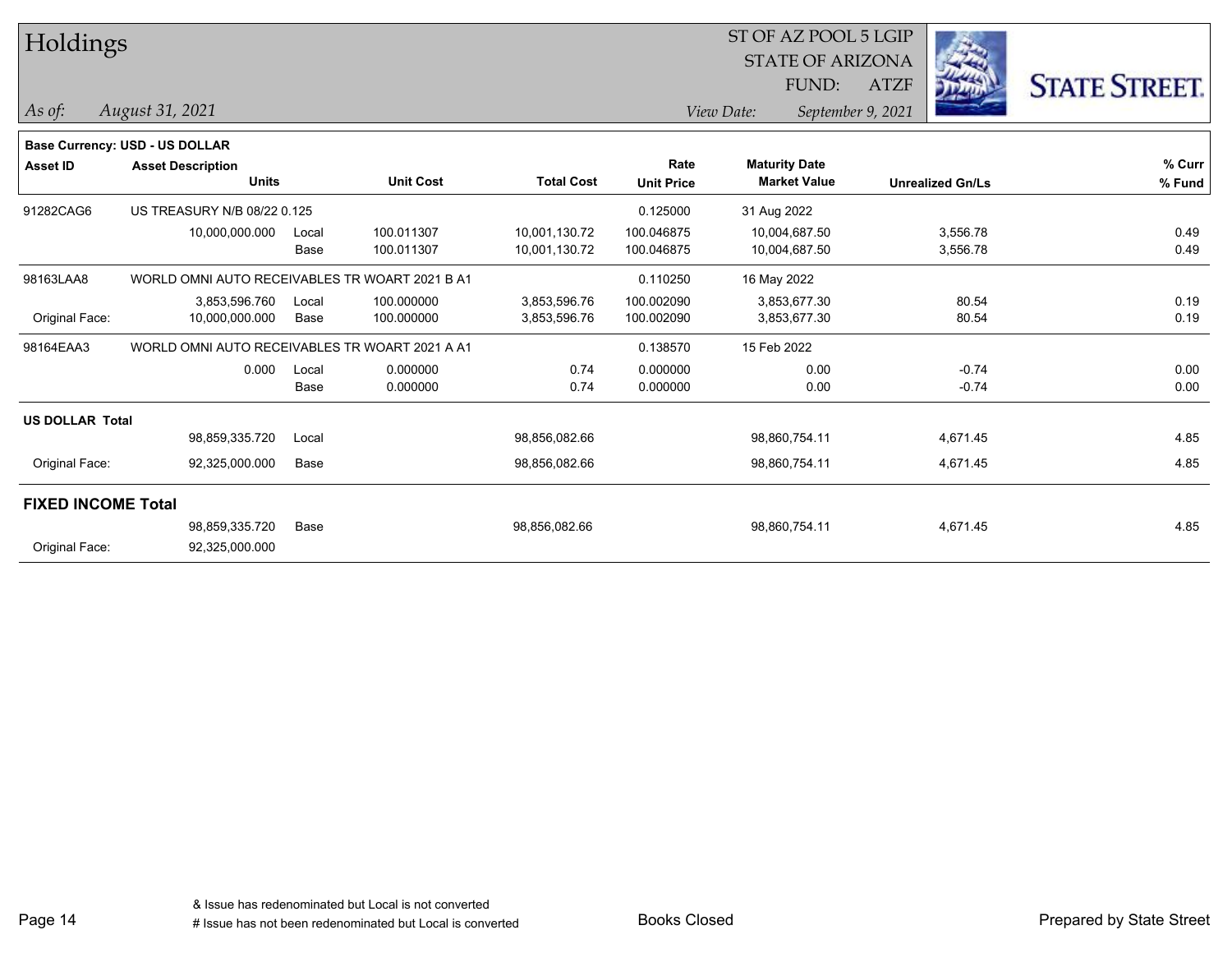| Holdings                  |                                                |       | ST OF AZ POOL 5 LGIP |                   |                   |                      |                         |             |                         |                      |
|---------------------------|------------------------------------------------|-------|----------------------|-------------------|-------------------|----------------------|-------------------------|-------------|-------------------------|----------------------|
|                           |                                                |       |                      |                   |                   |                      | <b>STATE OF ARIZONA</b> |             |                         |                      |
|                           |                                                |       |                      |                   |                   |                      | FUND:                   | <b>ATZF</b> |                         | <b>STATE STREET.</b> |
| As of:                    | August 31, 2021                                |       |                      |                   |                   | View Date:           | September 9, 2021       |             |                         |                      |
|                           | <b>Base Currency: USD - US DOLLAR</b>          |       |                      |                   |                   |                      |                         |             |                         |                      |
| <b>Asset ID</b>           | <b>Asset Description</b>                       |       |                      |                   | Rate              | <b>Maturity Date</b> |                         |             |                         | % Curr               |
|                           | <b>Units</b>                                   |       | <b>Unit Cost</b>     | <b>Total Cost</b> | <b>Unit Price</b> | <b>Market Value</b>  |                         |             | <b>Unrealized Gn/Ls</b> | % Fund               |
| 91282CAG6                 | US TREASURY N/B 08/22 0.125                    |       |                      |                   | 0.125000          | 31 Aug 2022          |                         |             |                         |                      |
|                           | 10,000,000.000                                 | Local | 100.011307           | 10,001,130.72     | 100.046875        | 10,004,687.50        |                         |             | 3,556.78                | 0.49                 |
|                           |                                                | Base  | 100.011307           | 10,001,130.72     | 100.046875        | 10,004,687.50        |                         |             | 3,556.78                | 0.49                 |
| 98163LAA8                 | WORLD OMNI AUTO RECEIVABLES TR WOART 2021 B A1 |       |                      |                   | 0.110250          | 16 May 2022          |                         |             |                         |                      |
|                           | 3,853,596.760                                  | Local | 100.000000           | 3,853,596.76      | 100.002090        | 3,853,677.30         |                         |             | 80.54                   | 0.19                 |
| Original Face:            | 10,000,000.000                                 | Base  | 100.000000           | 3,853,596.76      | 100.002090        | 3,853,677.30         |                         |             | 80.54                   | 0.19                 |
| 98164EAA3                 | WORLD OMNI AUTO RECEIVABLES TR WOART 2021 A A1 |       |                      |                   | 0.138570          | 15 Feb 2022          |                         |             |                         |                      |
|                           | 0.000                                          | Local | 0.000000             | 0.74              | 0.000000          |                      | 0.00                    |             | $-0.74$                 | 0.00                 |
|                           |                                                | Base  | 0.000000             | 0.74              | 0.000000          |                      | 0.00                    |             | $-0.74$                 | 0.00                 |
| <b>US DOLLAR Total</b>    |                                                |       |                      |                   |                   |                      |                         |             |                         |                      |
|                           | 98,859,335.720                                 | Local |                      | 98,856,082.66     |                   | 98,860,754.11        |                         |             | 4,671.45                | 4.85                 |
| Original Face:            | 92,325,000.000                                 | Base  |                      | 98,856,082.66     |                   | 98,860,754.11        |                         |             | 4,671.45                | 4.85                 |
| <b>FIXED INCOME Total</b> |                                                |       |                      |                   |                   |                      |                         |             |                         |                      |
|                           | 98,859,335.720                                 | Base  |                      | 98,856,082.66     |                   | 98,860,754.11        |                         |             | 4,671.45                | 4.85                 |
| Original Face:            | 92,325,000.000                                 |       |                      |                   |                   |                      |                         |             |                         |                      |
|                           |                                                |       |                      |                   |                   |                      |                         |             |                         |                      |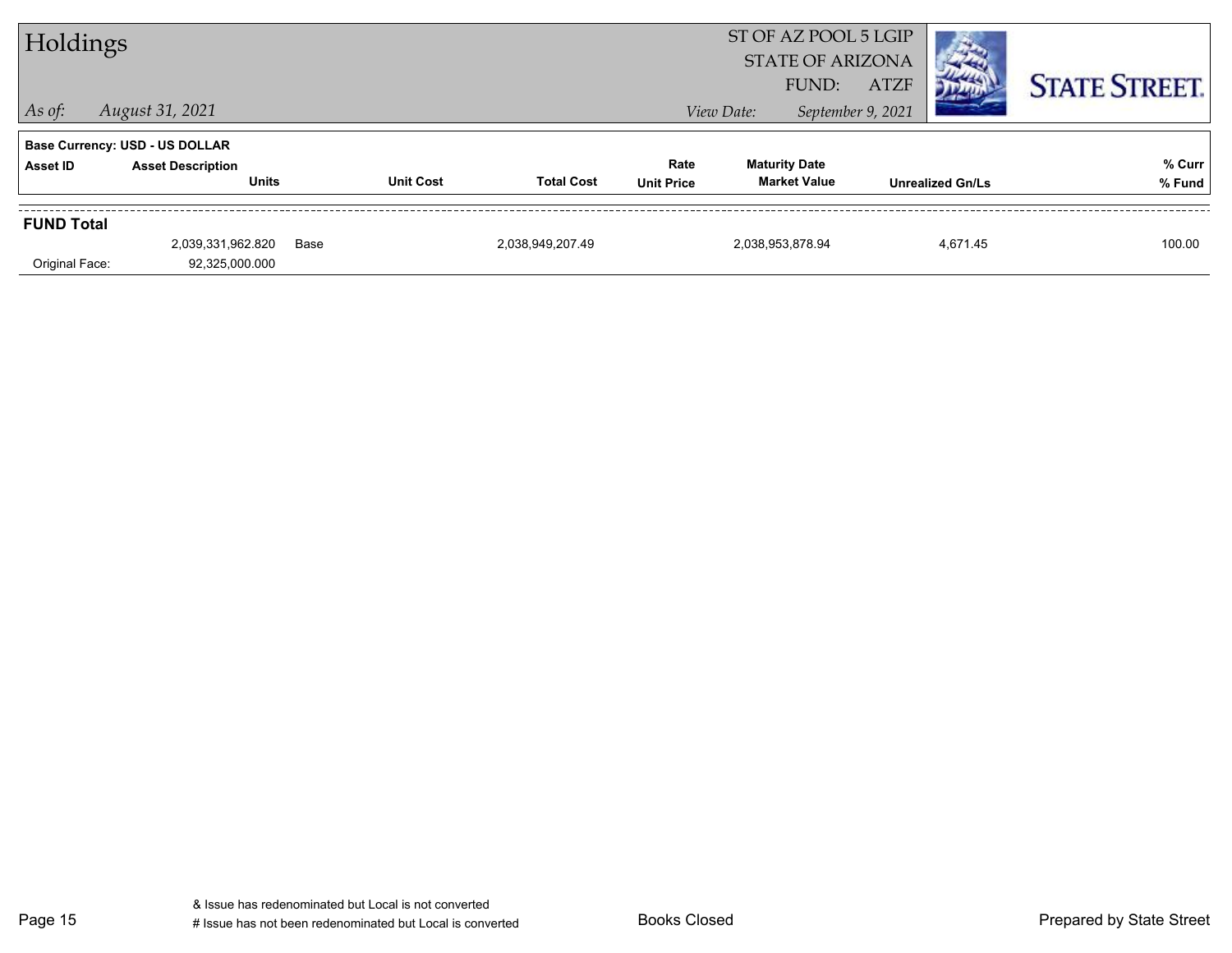| Holdings          |                                          |      |                  |                   |                   | ST OF AZ POOL 5 LGIP<br><b>STATE OF ARIZONA</b><br><b>ATZF</b><br>FUND: |                                             |                   |                         | <b>STATE STREET.</b> |
|-------------------|------------------------------------------|------|------------------|-------------------|-------------------|-------------------------------------------------------------------------|---------------------------------------------|-------------------|-------------------------|----------------------|
| $ $ As of:        | August 31, 2021                          |      |                  |                   |                   | View Date:                                                              |                                             | September 9, 2021 |                         |                      |
|                   | <b>Base Currency: USD - US DOLLAR</b>    |      |                  |                   |                   |                                                                         |                                             |                   |                         |                      |
| Asset ID          | <b>Asset Description</b><br><b>Units</b> |      | <b>Unit Cost</b> | <b>Total Cost</b> | Rate              |                                                                         | <b>Maturity Date</b><br><b>Market Value</b> |                   |                         | % Curr               |
|                   |                                          |      |                  |                   | <b>Unit Price</b> |                                                                         |                                             |                   | <b>Unrealized Gn/Ls</b> | % Fund               |
| <b>FUND Total</b> |                                          |      |                  |                   |                   |                                                                         |                                             |                   |                         |                      |
|                   | 2,039,331,962.820                        | Base |                  | 2,038,949,207.49  |                   |                                                                         | 2,038,953,878.94                            |                   | 4,671.45                | 100.00               |
| Original Face:    | 92,325,000.000                           |      |                  |                   |                   |                                                                         |                                             |                   |                         |                      |

Page 15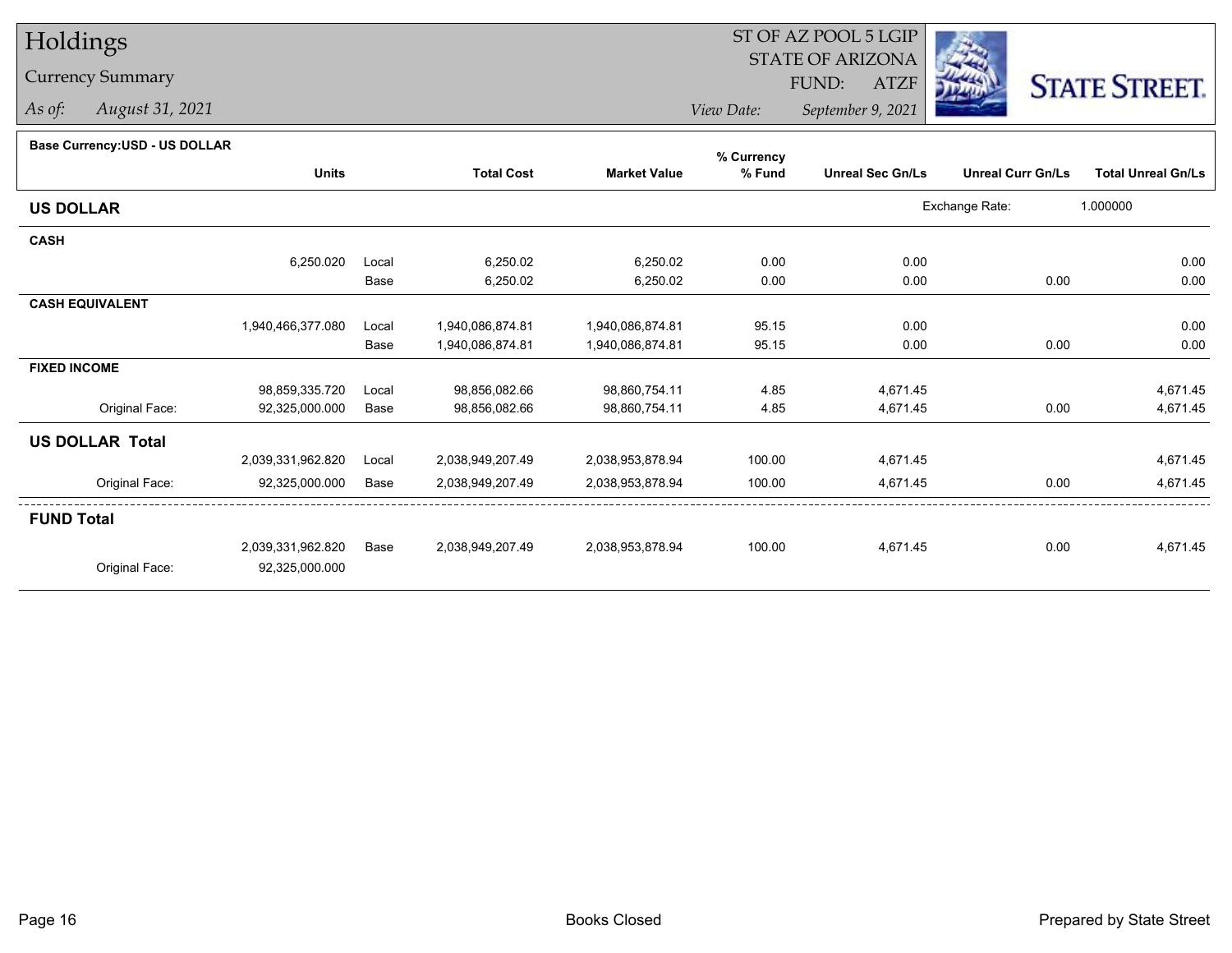# Holdings

## Currency Summary

*As of: August 31, 2021*

#### ST OF AZ POOL 5 LGIP STATE OF ARIZONAATZF FUND:



*View Date:September 9, 2021*

## **Base Currency:USD - US DOLLAR**

|                        |                   |       |                   |                     | % Currency |                         |                          |                           |
|------------------------|-------------------|-------|-------------------|---------------------|------------|-------------------------|--------------------------|---------------------------|
|                        | <b>Units</b>      |       | <b>Total Cost</b> | <b>Market Value</b> | % Fund     | <b>Unreal Sec Gn/Ls</b> | <b>Unreal Curr Gn/Ls</b> | <b>Total Unreal Gn/Ls</b> |
| <b>US DOLLAR</b>       |                   |       |                   |                     |            |                         | Exchange Rate:           | 1.000000                  |
| <b>CASH</b>            |                   |       |                   |                     |            |                         |                          |                           |
|                        | 6,250.020         | Local | 6,250.02          | 6,250.02            | 0.00       | 0.00                    |                          | 0.00                      |
|                        |                   | Base  | 6,250.02          | 6,250.02            | 0.00       | 0.00                    | 0.00                     | 0.00                      |
| <b>CASH EQUIVALENT</b> |                   |       |                   |                     |            |                         |                          |                           |
|                        | 1,940,466,377.080 | Local | 1,940,086,874.81  | 1,940,086,874.81    | 95.15      | 0.00                    |                          | 0.00                      |
|                        |                   | Base  | 1,940,086,874.81  | 1,940,086,874.81    | 95.15      | 0.00                    | 0.00                     | 0.00                      |
| <b>FIXED INCOME</b>    |                   |       |                   |                     |            |                         |                          |                           |
|                        | 98,859,335.720    | Local | 98,856,082.66     | 98,860,754.11       | 4.85       | 4,671.45                |                          | 4,671.45                  |
| Original Face:         | 92,325,000.000    | Base  | 98,856,082.66     | 98,860,754.11       | 4.85       | 4,671.45                | 0.00                     | 4,671.45                  |
| <b>US DOLLAR Total</b> |                   |       |                   |                     |            |                         |                          |                           |
|                        | 2,039,331,962.820 | Local | 2,038,949,207.49  | 2,038,953,878.94    | 100.00     | 4,671.45                |                          | 4,671.45                  |
| Original Face:         | 92,325,000.000    | Base  | 2,038,949,207.49  | 2,038,953,878.94    | 100.00     | 4,671.45                | 0.00                     | 4,671.45                  |
| <b>FUND Total</b>      |                   |       |                   |                     |            |                         |                          |                           |
|                        | 2,039,331,962.820 | Base  | 2,038,949,207.49  | 2,038,953,878.94    | 100.00     | 4,671.45                | 0.00                     | 4,671.45                  |
| Original Face:         | 92,325,000.000    |       |                   |                     |            |                         |                          |                           |
|                        |                   |       |                   |                     |            |                         |                          |                           |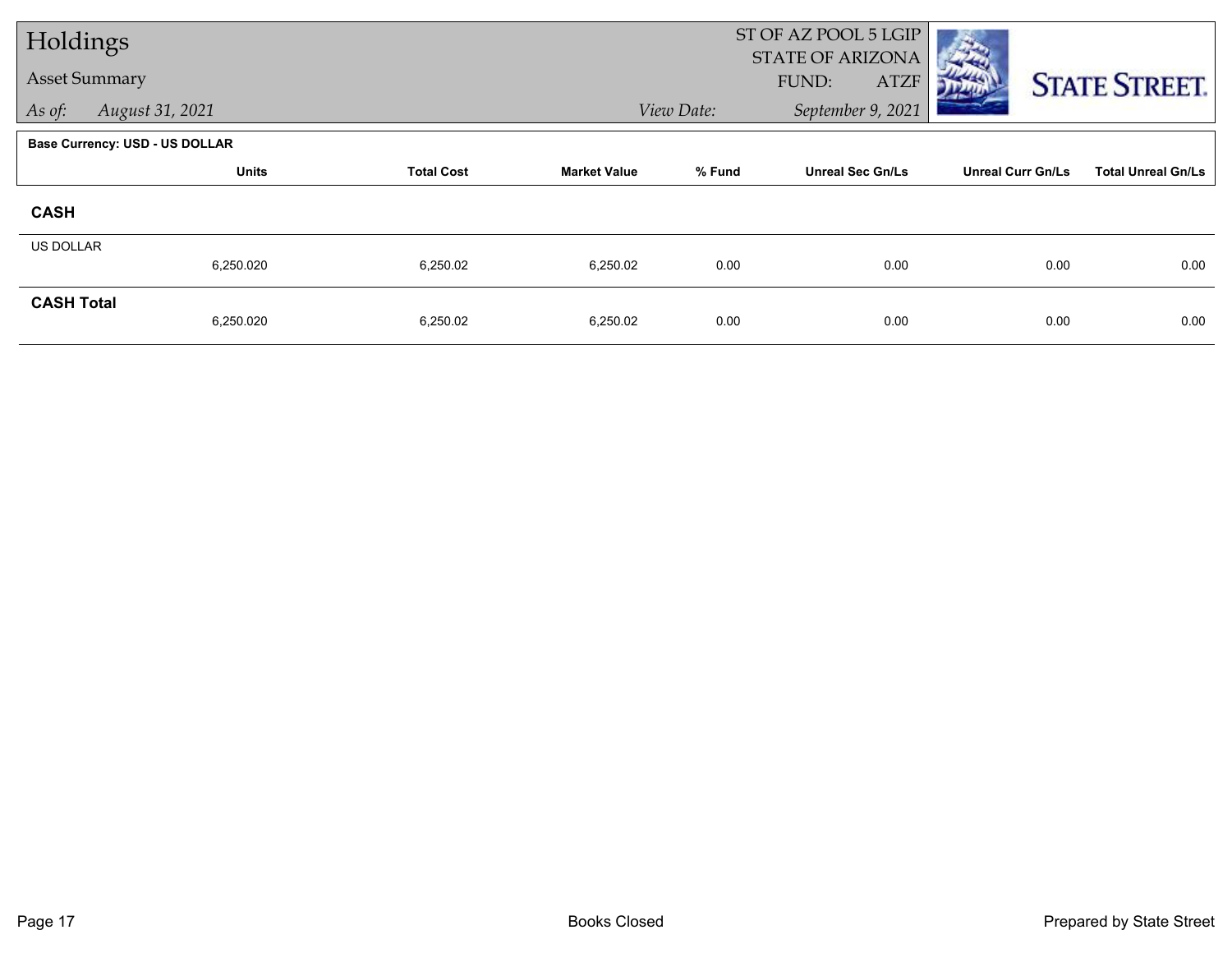| Holdings             |                                       |                   |                     | ST OF AZ POOL 5 LGIP<br>STATE OF ARIZONA |                         |                          |                           |  |  |
|----------------------|---------------------------------------|-------------------|---------------------|------------------------------------------|-------------------------|--------------------------|---------------------------|--|--|
| <b>Asset Summary</b> |                                       |                   |                     |                                          | FUND:<br><b>ATZF</b>    |                          | <b>STATE STREET.</b>      |  |  |
| As of:               | August 31, 2021                       |                   |                     | View Date:                               | September 9, 2021       |                          |                           |  |  |
|                      | <b>Base Currency: USD - US DOLLAR</b> |                   |                     |                                          |                         |                          |                           |  |  |
|                      | <b>Units</b>                          | <b>Total Cost</b> | <b>Market Value</b> | % Fund                                   | <b>Unreal Sec Gn/Ls</b> | <b>Unreal Curr Gn/Ls</b> | <b>Total Unreal Gn/Ls</b> |  |  |
| <b>CASH</b>          |                                       |                   |                     |                                          |                         |                          |                           |  |  |
| <b>US DOLLAR</b>     | 6,250.020                             | 6,250.02          | 6,250.02            | 0.00                                     | 0.00                    | 0.00                     | 0.00                      |  |  |
|                      |                                       |                   |                     |                                          |                         |                          |                           |  |  |
| <b>CASH Total</b>    | 6,250.020                             | 6,250.02          | 6,250.02            | 0.00                                     | 0.00                    | 0.00                     | 0.00                      |  |  |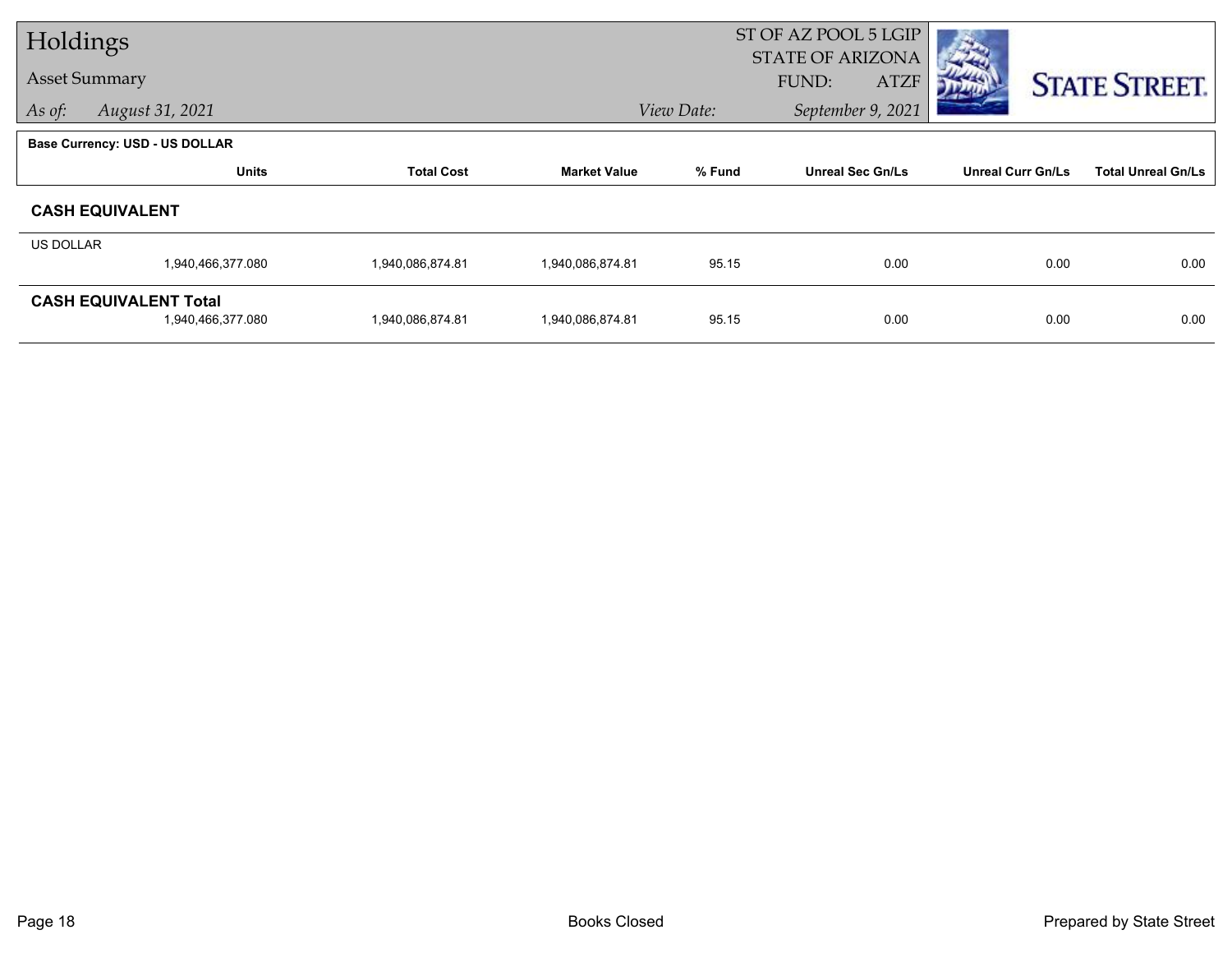| Holdings         |                                       |                   |                     |            | ST OF AZ POOL 5 LGIP<br><b>STATE OF ARIZONA</b> |                          |                           |  |
|------------------|---------------------------------------|-------------------|---------------------|------------|-------------------------------------------------|--------------------------|---------------------------|--|
|                  | <b>Asset Summary</b>                  |                   |                     |            | FUND:<br><b>ATZF</b>                            |                          | <b>STATE STREET.</b>      |  |
| As of:           | August 31, 2021                       |                   |                     | View Date: | September 9, 2021                               |                          |                           |  |
|                  | <b>Base Currency: USD - US DOLLAR</b> |                   |                     |            |                                                 |                          |                           |  |
|                  | <b>Units</b>                          | <b>Total Cost</b> | <b>Market Value</b> | % Fund     | <b>Unreal Sec Gn/Ls</b>                         | <b>Unreal Curr Gn/Ls</b> | <b>Total Unreal Gn/Ls</b> |  |
|                  | <b>CASH EQUIVALENT</b>                |                   |                     |            |                                                 |                          |                           |  |
| <b>US DOLLAR</b> |                                       |                   |                     |            |                                                 |                          |                           |  |
|                  | 1,940,466,377.080                     | 1,940,086,874.81  | 1,940,086,874.81    | 95.15      | 0.00                                            | 0.00                     | 0.00                      |  |
|                  | <b>CASH EQUIVALENT Total</b>          |                   |                     |            |                                                 |                          |                           |  |
|                  | 1,940,466,377.080                     | 1,940,086,874.81  | 1,940,086,874.81    | 95.15      | 0.00                                            | 0.00                     | 0.00                      |  |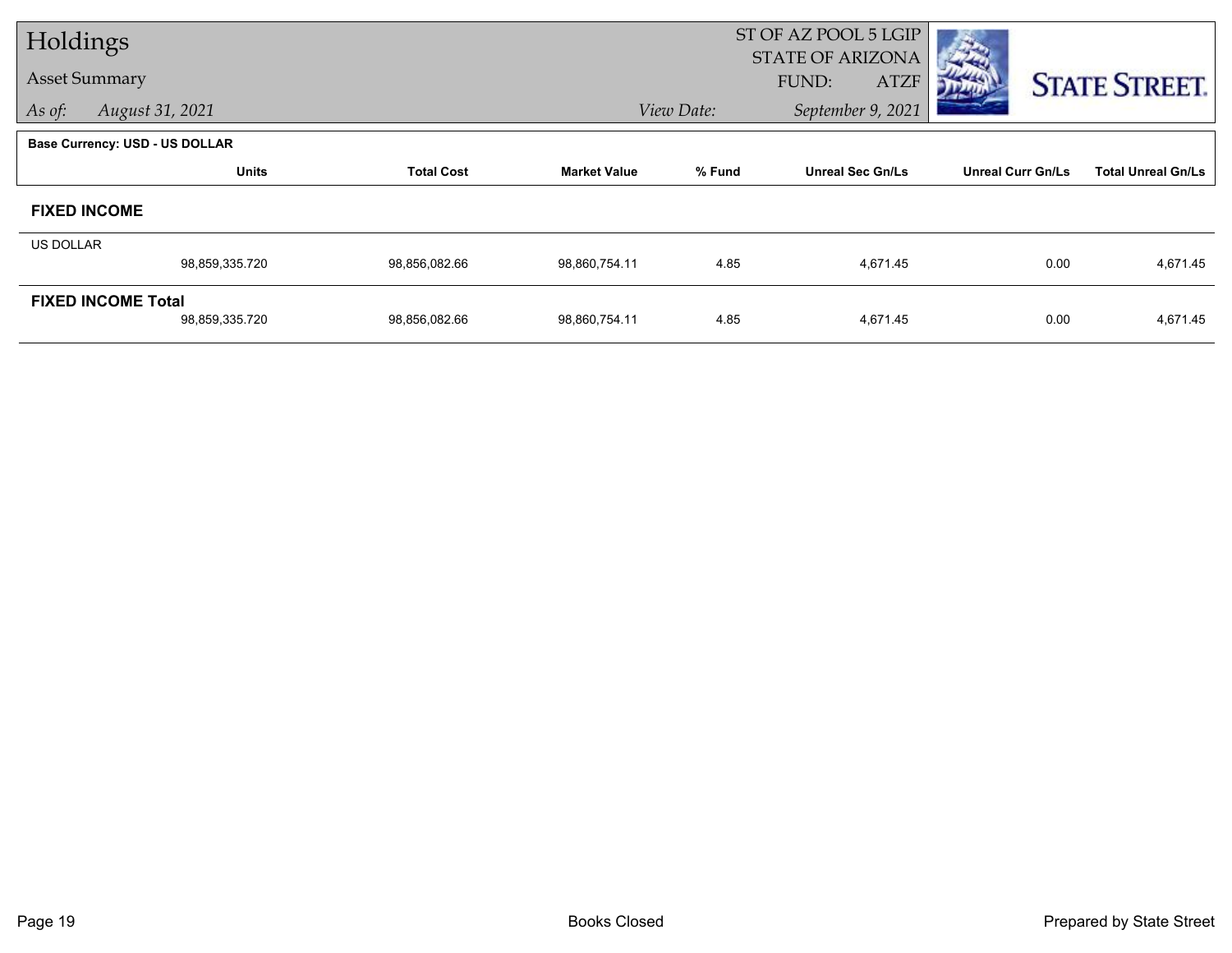| Holdings                  |                                       |                   |                     |            | ST OF AZ POOL 5 LGIP    |                          |                           |  |  |
|---------------------------|---------------------------------------|-------------------|---------------------|------------|-------------------------|--------------------------|---------------------------|--|--|
|                           | <b>Asset Summary</b>                  |                   |                     |            | <b>STATE OF ARIZONA</b> |                          |                           |  |  |
|                           |                                       |                   |                     |            | FUND:<br><b>ATZF</b>    |                          | <b>STATE STREET.</b>      |  |  |
| As of:                    | August 31, 2021                       |                   |                     | View Date: | September 9, 2021       |                          |                           |  |  |
|                           | <b>Base Currency: USD - US DOLLAR</b> |                   |                     |            |                         |                          |                           |  |  |
|                           | <b>Units</b>                          | <b>Total Cost</b> | <b>Market Value</b> | % Fund     | <b>Unreal Sec Gn/Ls</b> | <b>Unreal Curr Gn/Ls</b> | <b>Total Unreal Gn/Ls</b> |  |  |
|                           | <b>FIXED INCOME</b>                   |                   |                     |            |                         |                          |                           |  |  |
| <b>US DOLLAR</b>          |                                       |                   |                     |            |                         |                          |                           |  |  |
|                           | 98,859,335.720                        | 98,856,082.66     | 98,860,754.11       | 4.85       | 4,671.45                | 0.00                     | 4,671.45                  |  |  |
| <b>FIXED INCOME Total</b> |                                       |                   |                     |            |                         |                          |                           |  |  |
|                           | 98,859,335.720                        | 98,856,082.66     | 98,860,754.11       | 4.85       | 4,671.45                | 0.00                     | 4,671.45                  |  |  |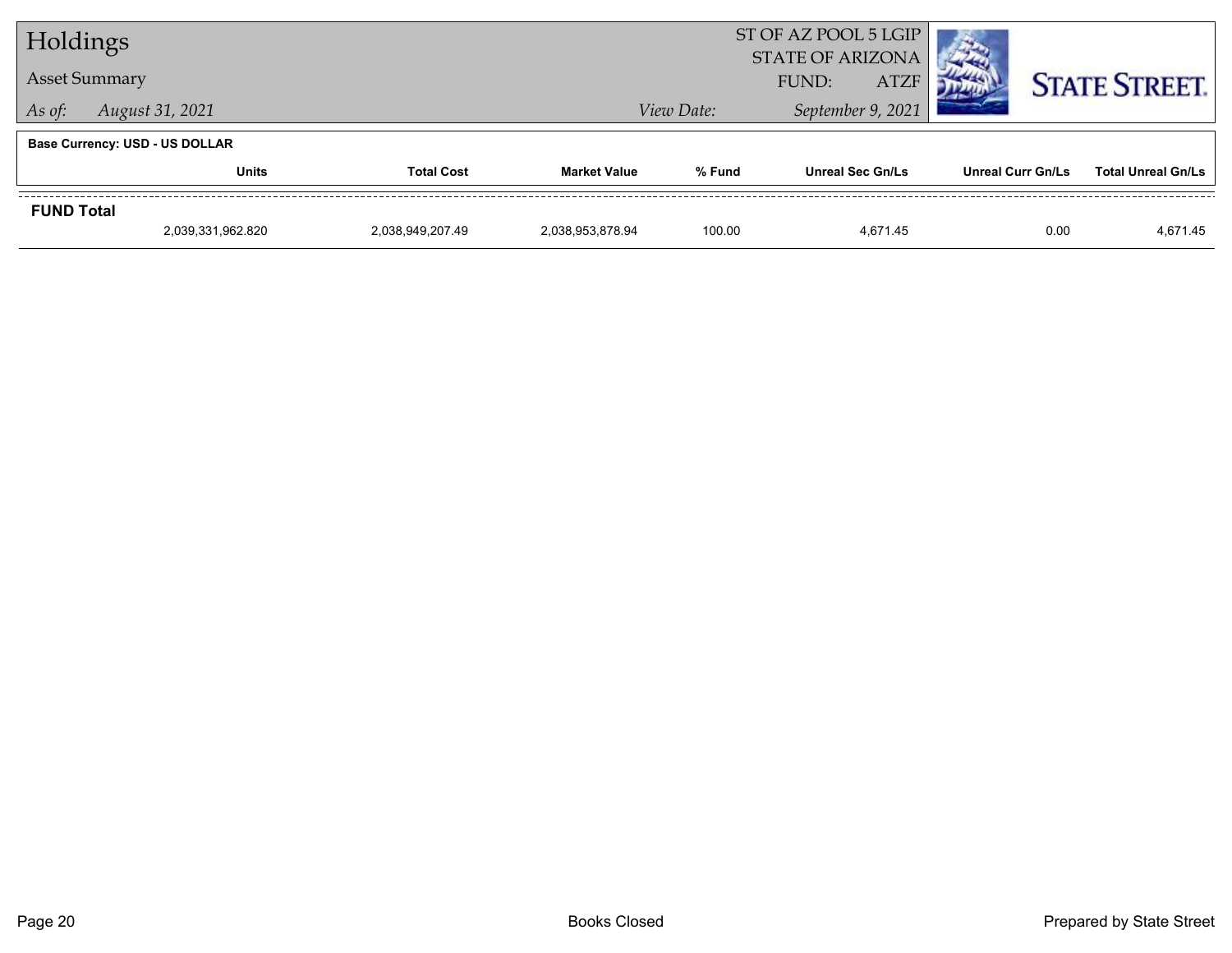| Holdings          |                                                    |                   |                     |        | ST OF AZ POOL 5 LGIP<br><b>STATE OF ARIZONA</b> |                          |                           |
|-------------------|----------------------------------------------------|-------------------|---------------------|--------|-------------------------------------------------|--------------------------|---------------------------|
|                   | <b>Asset Summary</b>                               |                   |                     |        |                                                 | <b>STATE STREET.</b>     |                           |
| As of:            | September 9, 2021<br>View Date:<br>August 31, 2021 |                   |                     |        |                                                 |                          |                           |
|                   | <b>Base Currency: USD - US DOLLAR</b>              |                   |                     |        |                                                 |                          |                           |
|                   | Units                                              | <b>Total Cost</b> | <b>Market Value</b> | % Fund | <b>Unreal Sec Gn/Ls</b>                         | <b>Unreal Curr Gn/Ls</b> | <b>Total Unreal Gn/Ls</b> |
| <b>FUND Total</b> |                                                    |                   |                     |        |                                                 |                          |                           |
|                   | 2,039,331,962.820                                  | 2,038,949,207.49  | 2.038.953.878.94    | 100.00 | 4.671.45                                        | 0.00                     | 4,671.45                  |